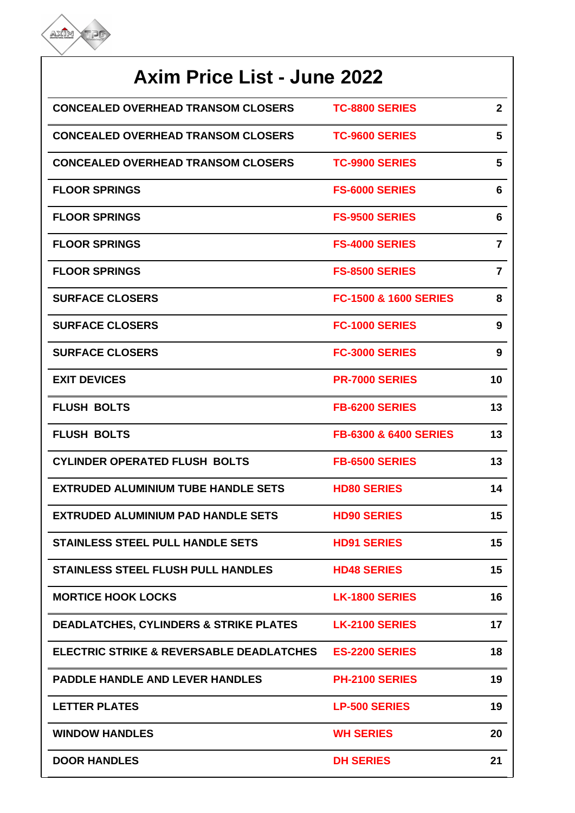

| <b>Axim Price List - June 2022</b>                |                                  |                |  |
|---------------------------------------------------|----------------------------------|----------------|--|
| <b>CONCEALED OVERHEAD TRANSOM CLOSERS</b>         | <b>TC-8800 SERIES</b>            | $\mathbf{2}$   |  |
| <b>CONCEALED OVERHEAD TRANSOM CLOSERS</b>         | <b>TC-9600 SERIES</b>            | 5              |  |
| <b>CONCEALED OVERHEAD TRANSOM CLOSERS</b>         | <b>TC-9900 SERIES</b>            | 5              |  |
| <b>FLOOR SPRINGS</b>                              | <b>FS-6000 SERIES</b>            | 6              |  |
| <b>FLOOR SPRINGS</b>                              | <b>FS-9500 SERIES</b>            | 6              |  |
| <b>FLOOR SPRINGS</b>                              | <b>FS-4000 SERIES</b>            | $\overline{7}$ |  |
| <b>FLOOR SPRINGS</b>                              | <b>FS-8500 SERIES</b>            | $\overline{7}$ |  |
| <b>SURFACE CLOSERS</b>                            | <b>FC-1500 &amp; 1600 SERIES</b> | 8              |  |
| <b>SURFACE CLOSERS</b>                            | <b>FC-1000 SERIES</b>            | 9              |  |
| <b>SURFACE CLOSERS</b>                            | <b>FC-3000 SERIES</b>            | 9              |  |
| <b>EXIT DEVICES</b>                               | <b>PR-7000 SERIES</b>            | 10             |  |
| <b>FLUSH BOLTS</b>                                | <b>FB-6200 SERIES</b>            | 13             |  |
| <b>FLUSH BOLTS</b>                                | <b>FB-6300 &amp; 6400 SERIES</b> | 13             |  |
| <b>CYLINDER OPERATED FLUSH BOLTS</b>              | <b>FB-6500 SERIES</b>            | 13             |  |
| <b>EXTRUDED ALUMINIUM TUBE HANDLE SETS</b>        | <b>HD80 SERIES</b>               | 14             |  |
| <b>EXTRUDED ALUMINIUM PAD HANDLE SETS</b>         | <b>HD90 SERIES</b>               | 15             |  |
| <b>STAINLESS STEEL PULL HANDLE SETS</b>           | <b>HD91 SERIES</b>               | 15             |  |
| <b>STAINLESS STEEL FLUSH PULL HANDLES</b>         | <b>HD48 SERIES</b>               | 15             |  |
| <b>MORTICE HOOK LOCKS</b>                         | <b>LK-1800 SERIES</b>            | 16             |  |
| <b>DEADLATCHES, CYLINDERS &amp; STRIKE PLATES</b> | <b>LK-2100 SERIES</b>            | 17             |  |
| ELECTRIC STRIKE & REVERSABLE DEADLATCHES          | <b>ES-2200 SERIES</b>            | 18             |  |
| <b>PADDLE HANDLE AND LEVER HANDLES</b>            | <b>PH-2100 SERIES</b>            | 19             |  |
| <b>LETTER PLATES</b>                              | <b>LP-500 SERIES</b>             | 19             |  |
| <b>WINDOW HANDLES</b>                             | <b>WH SERIES</b>                 | 20             |  |
| <b>DOOR HANDLES</b>                               | <b>DH SERIES</b>                 | 21             |  |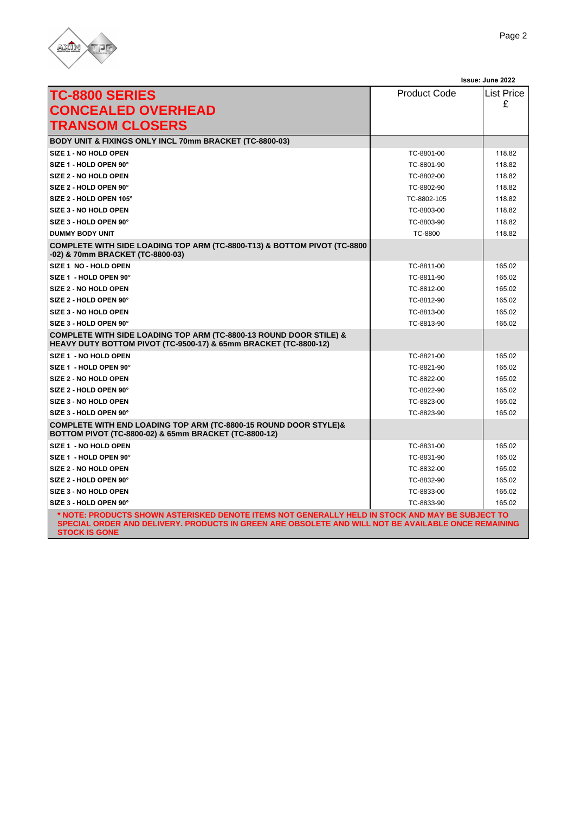

|                                                                                                                                                                                                                                 |                     | Issue: June 2022  |
|---------------------------------------------------------------------------------------------------------------------------------------------------------------------------------------------------------------------------------|---------------------|-------------------|
| <b>TC-8800 SERIES</b>                                                                                                                                                                                                           | <b>Product Code</b> | <b>List Price</b> |
| <b>CONCEALED OVERHEAD</b>                                                                                                                                                                                                       |                     | £                 |
|                                                                                                                                                                                                                                 |                     |                   |
| <b>TRANSOM CLOSERS</b>                                                                                                                                                                                                          |                     |                   |
| <b>BODY UNIT &amp; FIXINGS ONLY INCL 70mm BRACKET (TC-8800-03)</b>                                                                                                                                                              |                     |                   |
| <b>SIZE 1 - NO HOLD OPEN</b>                                                                                                                                                                                                    | TC-8801-00          | 118.82            |
| SIZE 1 - HOLD OPEN 90°                                                                                                                                                                                                          | TC-8801-90          | 118.82            |
| <b>SIZE 2 - NO HOLD OPEN</b>                                                                                                                                                                                                    | TC-8802-00          | 118.82            |
| SIZE 2 - HOLD OPEN 90°                                                                                                                                                                                                          | TC-8802-90          | 118.82            |
| SIZE 2 - HOLD OPEN 105°                                                                                                                                                                                                         | TC-8802-105         | 118.82            |
| SIZE 3 - NO HOLD OPEN                                                                                                                                                                                                           | TC-8803-00          | 118.82            |
| SIZE 3 - HOLD OPEN 90°                                                                                                                                                                                                          | TC-8803-90          | 118.82            |
| <b>DUMMY BODY UNIT</b>                                                                                                                                                                                                          | TC-8800             | 118.82            |
| COMPLETE WITH SIDE LOADING TOP ARM (TC-8800-T13) & BOTTOM PIVOT (TC-8800<br>-02) & 70mm BRACKET (TC-8800-03)                                                                                                                    |                     |                   |
| SIZE 1 NO - HOLD OPEN                                                                                                                                                                                                           | TC-8811-00          | 165.02            |
| SIZE 1 - HOLD OPEN 90°                                                                                                                                                                                                          | TC-8811-90          | 165.02            |
| <b>SIZE 2 - NO HOLD OPEN</b>                                                                                                                                                                                                    | TC-8812-00          | 165.02            |
| <b>SIZE 2 - HOLD OPEN 90°</b>                                                                                                                                                                                                   | TC-8812-90          | 165.02            |
| <b>SIZE 3 - NO HOLD OPEN</b>                                                                                                                                                                                                    | TC-8813-00          | 165.02            |
| SIZE 3 - HOLD OPEN 90°                                                                                                                                                                                                          | TC-8813-90          | 165.02            |
| COMPLETE WITH SIDE LOADING TOP ARM (TC-8800-13 ROUND DOOR STILE) &<br>HEAVY DUTY BOTTOM PIVOT (TC-9500-17) & 65mm BRACKET (TC-8800-12)                                                                                          |                     |                   |
| SIZE 1 - NO HOLD OPEN                                                                                                                                                                                                           | TC-8821-00          | 165.02            |
| SIZE 1 - HOLD OPEN 90°                                                                                                                                                                                                          | TC-8821-90          | 165.02            |
| <b>SIZE 2 - NO HOLD OPEN</b>                                                                                                                                                                                                    | TC-8822-00          | 165.02            |
| SIZE 2 - HOLD OPEN 90°                                                                                                                                                                                                          | TC-8822-90          | 165.02            |
| SIZE 3 - NO HOLD OPEN                                                                                                                                                                                                           | TC-8823-00          | 165.02            |
| <b>SIZE 3 - HOLD OPEN 90°</b>                                                                                                                                                                                                   | TC-8823-90          | 165.02            |
| <b>COMPLETE WITH END LOADING TOP ARM (TC-8800-15 ROUND DOOR STYLE)&amp;</b><br>BOTTOM PIVOT (TC-8800-02) & 65mm BRACKET (TC-8800-12)                                                                                            |                     |                   |
| SIZE 1 - NO HOLD OPEN                                                                                                                                                                                                           | TC-8831-00          | 165.02            |
| SIZE 1 - HOLD OPEN 90°                                                                                                                                                                                                          | TC-8831-90          | 165.02            |
| <b>SIZE 2 - NO HOLD OPEN</b>                                                                                                                                                                                                    | TC-8832-00          | 165.02            |
| SIZE 2 - HOLD OPEN 90°                                                                                                                                                                                                          | TC-8832-90          | 165.02            |
| <b>SIZE 3 - NO HOLD OPEN</b>                                                                                                                                                                                                    | TC-8833-00          | 165.02            |
| SIZE 3 - HOLD OPEN 90°                                                                                                                                                                                                          | TC-8833-90          | 165.02            |
| * NOTE: PRODUCTS SHOWN ASTERISKED DENOTE ITEMS NOT GENERALLY HELD IN STOCK AND MAY BE SUBJECT TO<br>SPECIAL ORDER AND DELIVERY. PRODUCTS IN GREEN ARE OBSOLETE AND WILL NOT BE AVAILABLE ONCE REMAINING<br><b>STOCK IS GONE</b> |                     |                   |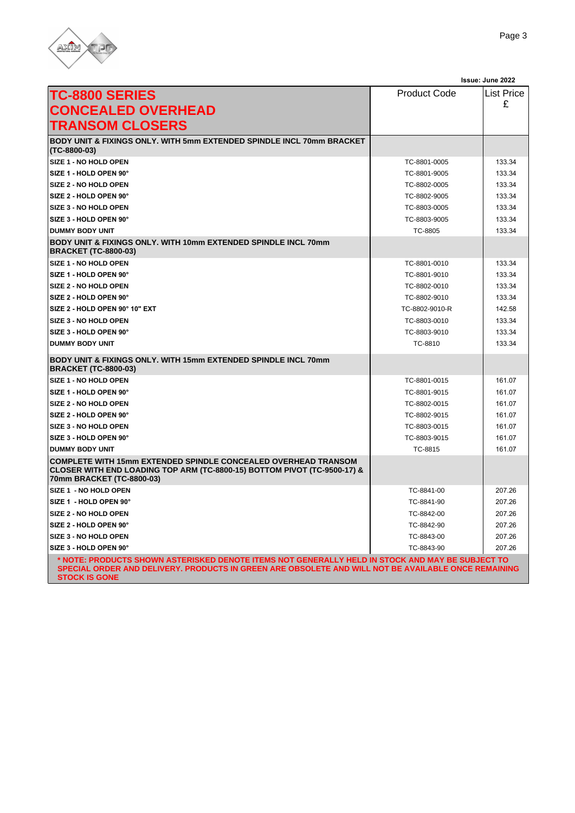

|                                                                                                                                                                                                                                 |                     | Issue: June 2022  |
|---------------------------------------------------------------------------------------------------------------------------------------------------------------------------------------------------------------------------------|---------------------|-------------------|
| <b>TC-8800 SERIES</b>                                                                                                                                                                                                           | <b>Product Code</b> | <b>List Price</b> |
| <b>CONCEALED OVERHEAD</b>                                                                                                                                                                                                       |                     | £                 |
|                                                                                                                                                                                                                                 |                     |                   |
| <b>TRANSOM CLOSERS</b>                                                                                                                                                                                                          |                     |                   |
| BODY UNIT & FIXINGS ONLY. WITH 5mm EXTENDED SPINDLE INCL 70mm BRACKET<br>(TC-8800-03)                                                                                                                                           |                     |                   |
| SIZE 1 - NO HOLD OPEN                                                                                                                                                                                                           | TC-8801-0005        | 133.34            |
| SIZE 1 - HOLD OPEN 90°                                                                                                                                                                                                          | TC-8801-9005        | 133.34            |
| SIZE 2 - NO HOLD OPEN                                                                                                                                                                                                           | TC-8802-0005        | 133.34            |
| SIZE 2 - HOLD OPEN 90°                                                                                                                                                                                                          | TC-8802-9005        | 133.34            |
| SIZE 3 - NO HOLD OPEN                                                                                                                                                                                                           | TC-8803-0005        | 133.34            |
| SIZE 3 - HOLD OPEN 90°                                                                                                                                                                                                          | TC-8803-9005        | 133.34            |
| <b>DUMMY BODY UNIT</b>                                                                                                                                                                                                          | TC-8805             | 133.34            |
| BODY UNIT & FIXINGS ONLY, WITH 10mm EXTENDED SPINDLE INCL 70mm<br><b>BRACKET (TC-8800-03)</b>                                                                                                                                   |                     |                   |
| SIZE 1 - NO HOLD OPEN                                                                                                                                                                                                           | TC-8801-0010        | 133.34            |
| SIZE 1 - HOLD OPEN 90°                                                                                                                                                                                                          | TC-8801-9010        | 133.34            |
| SIZE 2 - NO HOLD OPEN                                                                                                                                                                                                           | TC-8802-0010        | 133.34            |
| SIZE 2 - HOLD OPEN 90°                                                                                                                                                                                                          | TC-8802-9010        | 133.34            |
| SIZE 2 - HOLD OPEN 90° 10" EXT                                                                                                                                                                                                  | TC-8802-9010-R      | 142.58            |
| SIZE 3 - NO HOLD OPEN                                                                                                                                                                                                           | TC-8803-0010        | 133.34            |
| SIZE 3 - HOLD OPEN 90°                                                                                                                                                                                                          | TC-8803-9010        | 133.34            |
| <b>DUMMY BODY UNIT</b>                                                                                                                                                                                                          | TC-8810             | 133.34            |
| BODY UNIT & FIXINGS ONLY. WITH 15mm EXTENDED SPINDLE INCL 70mm<br><b>BRACKET (TC-8800-03)</b>                                                                                                                                   |                     |                   |
| SIZE 1 - NO HOLD OPEN                                                                                                                                                                                                           | TC-8801-0015        | 161.07            |
| SIZE 1 - HOLD OPEN 90°                                                                                                                                                                                                          | TC-8801-9015        | 161.07            |
| SIZE 2 - NO HOLD OPEN                                                                                                                                                                                                           | TC-8802-0015        | 161.07            |
| SIZE 2 - HOLD OPEN 90°                                                                                                                                                                                                          | TC-8802-9015        | 161.07            |
| SIZE 3 - NO HOLD OPEN                                                                                                                                                                                                           | TC-8803-0015        | 161.07            |
| SIZE 3 - HOLD OPEN 90°                                                                                                                                                                                                          | TC-8803-9015        | 161.07            |
| <b>DUMMY BODY UNIT</b>                                                                                                                                                                                                          | TC-8815             | 161.07            |
| <b>COMPLETE WITH 15mm EXTENDED SPINDLE CONCEALED OVERHEAD TRANSOM</b><br>CLOSER WITH END LOADING TOP ARM (TC-8800-15) BOTTOM PIVOT (TC-9500-17) &<br>70mm BRACKET (TC-8800-03)                                                  |                     |                   |
| SIZE 1 - NO HOLD OPEN                                                                                                                                                                                                           | TC-8841-00          | 207.26            |
| SIZE 1 - HOLD OPEN 90°                                                                                                                                                                                                          | TC-8841-90          | 207.26            |
| SIZE 2 - NO HOLD OPEN                                                                                                                                                                                                           | TC-8842-00          | 207.26            |
| SIZE 2 - HOLD OPEN 90°                                                                                                                                                                                                          | TC-8842-90          | 207.26            |
| SIZE 3 - NO HOLD OPEN                                                                                                                                                                                                           | TC-8843-00          | 207.26            |
| SIZE 3 - HOLD OPEN 90°                                                                                                                                                                                                          | TC-8843-90          | 207.26            |
| * NOTE: PRODUCTS SHOWN ASTERISKED DENOTE ITEMS NOT GENERALLY HELD IN STOCK AND MAY BE SUBJECT TO<br>SPECIAL ORDER AND DELIVERY. PRODUCTS IN GREEN ARE OBSOLETE AND WILL NOT BE AVAILABLE ONCE REMAINING<br><b>STOCK IS GONE</b> |                     |                   |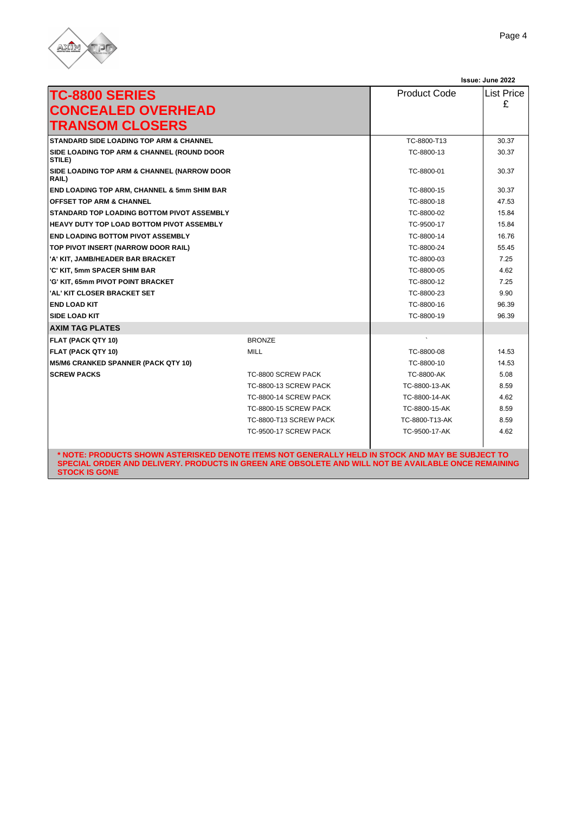

|                                                                 |                        |                     | Issue: June 2022 |
|-----------------------------------------------------------------|------------------------|---------------------|------------------|
| <b>TC-8800 SERIES</b><br><b>CONCEALED OVERHEAD</b>              |                        | <b>Product Code</b> | List Price<br>£  |
| <b>TRANSOM CLOSERS</b>                                          |                        |                     |                  |
| <b>STANDARD SIDE LOADING TOP ARM &amp; CHANNEL</b>              |                        | TC-8800-T13         | 30.37            |
| <b>SIDE LOADING TOP ARM &amp; CHANNEL (ROUND DOOR</b><br>STILE) |                        | TC-8800-13          | 30.37            |
| SIDE LOADING TOP ARM & CHANNEL (NARROW DOOR<br>RAIL)            |                        | TC-8800-01          | 30.37            |
| END LOADING TOP ARM, CHANNEL & 5mm SHIM BAR                     |                        | TC-8800-15          | 30.37            |
| <b>OFFSET TOP ARM &amp; CHANNEL</b>                             |                        | TC-8800-18          | 47.53            |
| STANDARD TOP LOADING BOTTOM PIVOT ASSEMBLY                      |                        | TC-8800-02          | 15.84            |
| HEAVY DUTY TOP LOAD BOTTOM PIVOT ASSEMBLY                       |                        | TC-9500-17          | 15.84            |
| <b>END LOADING BOTTOM PIVOT ASSEMBLY</b>                        |                        | TC-8800-14          | 16.76            |
| TOP PIVOT INSERT (NARROW DOOR RAIL)                             |                        | TC-8800-24          | 55.45            |
| 'A' KIT, JAMB/HEADER BAR BRACKET                                |                        | TC-8800-03          | 7.25             |
| 'C' KIT, 5mm SPACER SHIM BAR                                    |                        | TC-8800-05          | 4.62             |
| 'G' KIT, 65mm PIVOT POINT BRACKET                               |                        | TC-8800-12          | 7.25             |
| 'AL' KIT CLOSER BRACKET SET                                     |                        | TC-8800-23          | 9.90             |
| <b>END LOAD KIT</b>                                             |                        | TC-8800-16          | 96.39            |
| <b>SIDE LOAD KIT</b>                                            |                        | TC-8800-19          | 96.39            |
| <b>AXIM TAG PLATES</b>                                          |                        |                     |                  |
| FLAT (PACK QTY 10)                                              | <b>BRONZE</b>          |                     |                  |
| FLAT (PACK QTY 10)                                              | <b>MILL</b>            | TC-8800-08          | 14.53            |
| <b>M5/M6 CRANKED SPANNER (PACK QTY 10)</b>                      |                        | TC-8800-10          | 14.53            |
| <b>SCREW PACKS</b>                                              | TC-8800 SCREW PACK     | TC-8800-AK          | 5.08             |
|                                                                 | TC-8800-13 SCREW PACK  | TC-8800-13-AK       | 8.59             |
|                                                                 | TC-8800-14 SCREW PACK  | TC-8800-14-AK       | 4.62             |
|                                                                 | TC-8800-15 SCREW PACK  | TC-8800-15-AK       | 8.59             |
|                                                                 | TC-8800-T13 SCREW PACK | TC-8800-T13-AK      | 8.59             |
|                                                                 | TC-9500-17 SCREW PACK  | TC-9500-17-AK       | 4.62             |

**\* NOTE: PRODUCTS SHOWN ASTERISKED DENOTE ITEMS NOT GENERALLY HELD IN STOCK AND MAY BE SUBJECT TO SPECIAL ORDER AND DELIVERY. PRODUCTS IN GREEN ARE OBSOLETE AND WILL NOT BE AVAILABLE ONCE REMAINING STOCK IS GONE**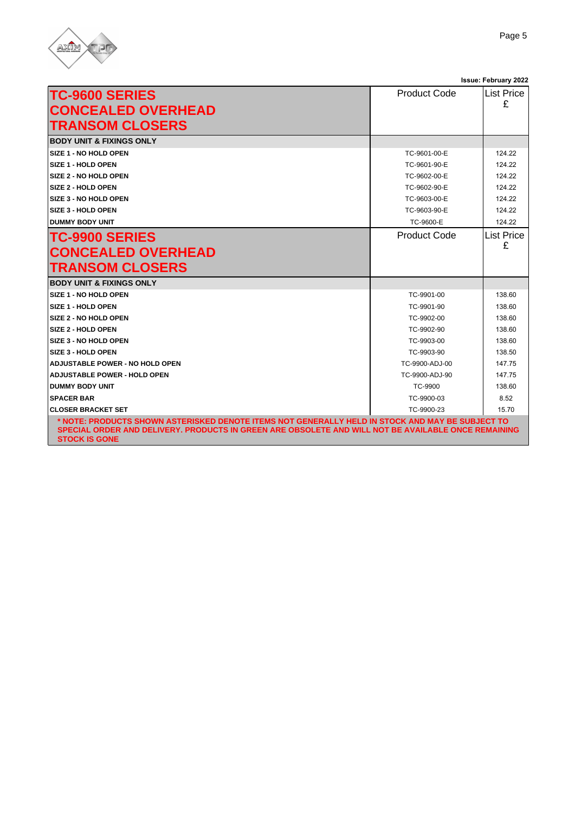

|                                                                                                                                                                                                                                  |                     | Issue: June 2022  |
|----------------------------------------------------------------------------------------------------------------------------------------------------------------------------------------------------------------------------------|---------------------|-------------------|
| <b>TC-9600 SERIES</b>                                                                                                                                                                                                            | <b>Product Code</b> | List Price        |
| <b>CONCEALED OVERHEAD</b>                                                                                                                                                                                                        |                     | £                 |
| <b>TRANSOM CLOSERS</b>                                                                                                                                                                                                           |                     |                   |
|                                                                                                                                                                                                                                  |                     |                   |
| <b>BODY UNIT &amp; FIXINGS ONLY</b>                                                                                                                                                                                              |                     |                   |
| SIZE 1 - NO HOLD OPEN                                                                                                                                                                                                            | TC-9601-00-E        | 124.22            |
| SIZE 1 - HOLD OPEN                                                                                                                                                                                                               | TC-9601-90-E        | 124.22            |
| SIZE 2 - NO HOLD OPEN                                                                                                                                                                                                            | TC-9602-00-E        | 124.22            |
| SIZE 2 - HOLD OPEN                                                                                                                                                                                                               | TC-9602-90-E        | 124.22            |
| SIZE 3 - NO HOLD OPEN                                                                                                                                                                                                            | TC-9603-00-E        | 124.22            |
| SIZE 3 - HOLD OPEN                                                                                                                                                                                                               | TC-9603-90-E        | 124 22            |
| <b>DUMMY BODY UNIT</b>                                                                                                                                                                                                           | TC-9600-E           | 124.22            |
| <b>TC-9900 SERIES</b>                                                                                                                                                                                                            | <b>Product Code</b> | <b>List Price</b> |
| <b>CONCEALED OVERHEAD</b>                                                                                                                                                                                                        |                     | £                 |
| <b>TRANSOM CLOSERS</b>                                                                                                                                                                                                           |                     |                   |
| <b>BODY UNIT &amp; FIXINGS ONLY</b>                                                                                                                                                                                              |                     |                   |
| SIZE 1 - NO HOLD OPEN                                                                                                                                                                                                            | TC-9901-00          | 138.60            |
| SIZE 1 - HOLD OPEN                                                                                                                                                                                                               | TC-9901-90          | 138.60            |
| <b>SIZE 2 - NO HOLD OPEN</b>                                                                                                                                                                                                     | TC-9902-00          | 138.60            |
| SIZE 2 - HOLD OPEN                                                                                                                                                                                                               | TC-9902-90          | 138.60            |
| SIZE 3 - NO HOLD OPEN                                                                                                                                                                                                            | TC-9903-00          | 138.60            |
| SIZE 3 - HOLD OPEN                                                                                                                                                                                                               | TC-9903-90          | 138.50            |
| <b>ADJUSTABLE POWER - NO HOLD OPEN</b>                                                                                                                                                                                           | TC-9900-ADJ-00      | 147.75            |
| <b>ADJUSTABLE POWER - HOLD OPEN</b>                                                                                                                                                                                              | TC-9900-ADJ-90      | 147.75            |
| <b>DUMMY BODY UNIT</b>                                                                                                                                                                                                           | TC-9900             | 138.60            |
| <b>SPACER BAR</b>                                                                                                                                                                                                                | TC-9900-03          | 8.52              |
| <b>CLOSER BRACKET SET</b>                                                                                                                                                                                                        | TC-9900-23          | 15.70             |
| NOTE: PRODUCTS SHOWN ASTERISKED DENOTE ITEMS NOT GENERALLY HELD IN STOCK AND MAY BE SUBJECT TO **<br>SPECIAL ORDER AND DELIVERY. PRODUCTS IN GREEN ARE OBSOLETE AND WILL NOT BE AVAILABLE ONCE REMAINING<br><b>STOCK IS GONE</b> |                     |                   |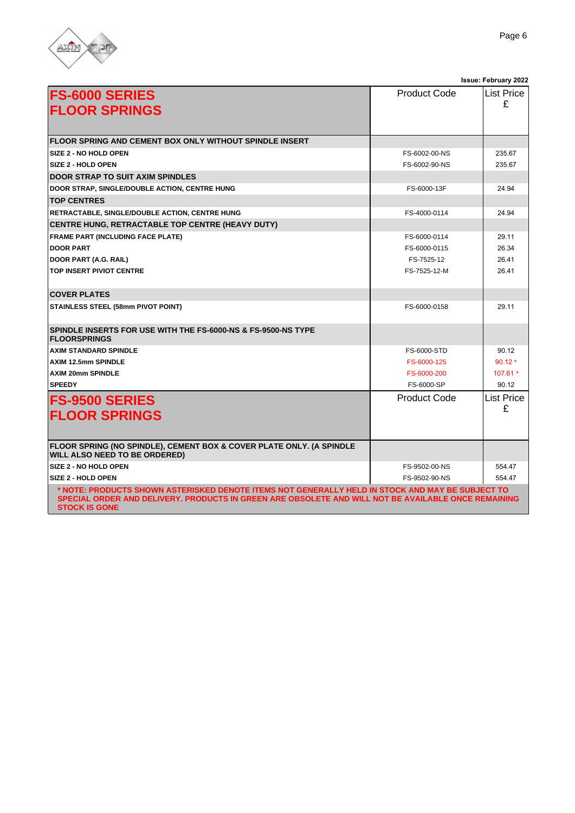

| <b>FS-6000 SERIES</b><br><b>FLOOR SPRINGS</b>                                                                                                                                                                                   | <b>Product Code</b> | <b>List Price</b><br>£ |
|---------------------------------------------------------------------------------------------------------------------------------------------------------------------------------------------------------------------------------|---------------------|------------------------|
|                                                                                                                                                                                                                                 |                     |                        |
| <b>FLOOR SPRING AND CEMENT BOX ONLY WITHOUT SPINDLE INSERT</b>                                                                                                                                                                  |                     |                        |
| SIZE 2 - NO HOLD OPEN                                                                                                                                                                                                           | FS-6002-00-NS       | 235.67                 |
| <b>SIZE 2 - HOLD OPEN</b>                                                                                                                                                                                                       | FS-6002-90-NS       | 235.67                 |
| <b>DOOR STRAP TO SUIT AXIM SPINDLES</b>                                                                                                                                                                                         |                     |                        |
| DOOR STRAP, SINGLE/DOUBLE ACTION, CENTRE HUNG                                                                                                                                                                                   | FS-6000-13F         | 24.94                  |
| <b>TOP CENTRES</b>                                                                                                                                                                                                              |                     |                        |
| RETRACTABLE, SINGLE/DOUBLE ACTION, CENTRE HUNG                                                                                                                                                                                  | FS-4000-0114        | 24.94                  |
| CENTRE HUNG, RETRACTABLE TOP CENTRE (HEAVY DUTY)                                                                                                                                                                                |                     |                        |
| <b>FRAME PART (INCLUDING FACE PLATE)</b>                                                                                                                                                                                        | FS-6000-0114        | 29.11                  |
| <b>DOOR PART</b>                                                                                                                                                                                                                | FS-6000-0115        | 26.34                  |
| DOOR PART (A.G. RAIL)                                                                                                                                                                                                           | FS-7525-12          | 26.41                  |
| <b>TOP INSERT PIVIOT CENTRE</b>                                                                                                                                                                                                 | FS-7525-12-M        | 26.41                  |
| <b>COVER PLATES</b>                                                                                                                                                                                                             |                     |                        |
| <b>STAINLESS STEEL (58mm PIVOT POINT)</b>                                                                                                                                                                                       | FS-6000-0158        | 29.11                  |
| SPINDLE INSERTS FOR USE WITH THE FS-6000-NS & FS-9500-NS TYPE<br><b>FLOORSPRINGS</b>                                                                                                                                            |                     |                        |
| <b>AXIM STANDARD SPINDLE</b>                                                                                                                                                                                                    | FS-6000-STD         | 90.12                  |
| <b>AXIM 12.5mm SPINDLE</b>                                                                                                                                                                                                      | FS-6000-125         | $90.12*$               |
| <b>AXIM 20mm SPINDLE</b>                                                                                                                                                                                                        | FS-6000-200         | 107.61 *               |
| <b>SPEEDY</b>                                                                                                                                                                                                                   | FS-6000-SP          | 90.12                  |
| <b>FS-9500 SERIES</b>                                                                                                                                                                                                           | <b>Product Code</b> | List Price<br>£        |
| <b>FLOOR SPRINGS</b>                                                                                                                                                                                                            |                     |                        |
| FLOOR SPRING (NO SPINDLE), CEMENT BOX & COVER PLATE ONLY. (A SPINDLE<br><b>WILL ALSO NEED TO BE ORDERED)</b>                                                                                                                    |                     |                        |
| SIZE 2 - NO HOLD OPEN                                                                                                                                                                                                           | FS-9502-00-NS       | 554.47                 |
| <b>SIZE 2 - HOLD OPEN</b>                                                                                                                                                                                                       | FS-9502-90-NS       | 554.47                 |
| * NOTE: PRODUCTS SHOWN ASTERISKED DENOTE ITEMS NOT GENERALLY HELD IN STOCK AND MAY BE SUBJECT TO<br>SPECIAL ORDER AND DELIVERY. PRODUCTS IN GREEN ARE OBSOLETE AND WILL NOT BE AVAILABLE ONCE REMAINING<br><b>STOCK IS GONE</b> |                     |                        |

**Issue: June 2022**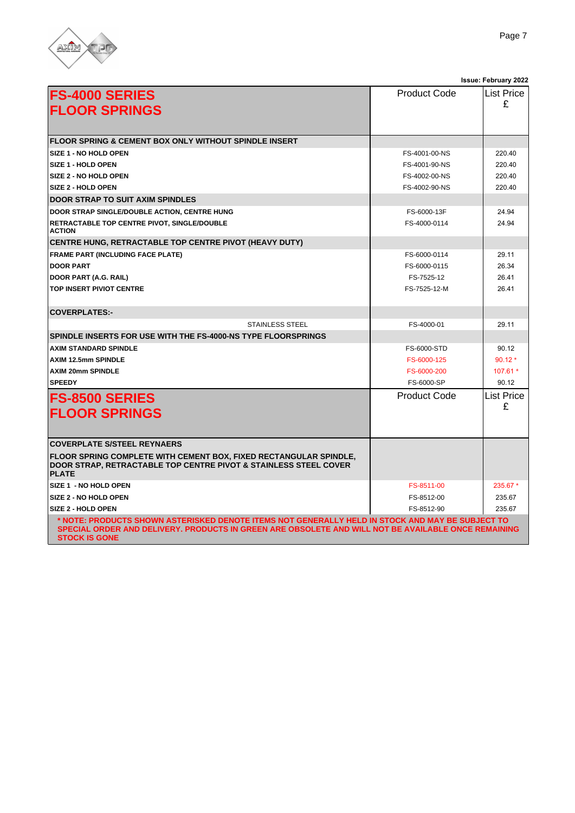

|                                                                                                                                                                                                                                  |                     | Issue: June 2022       |
|----------------------------------------------------------------------------------------------------------------------------------------------------------------------------------------------------------------------------------|---------------------|------------------------|
| <b>FS-4000 SERIES</b><br><b>FLOOR SPRINGS</b>                                                                                                                                                                                    | <b>Product Code</b> | List Price<br>£        |
| <b>FLOOR SPRING &amp; CEMENT BOX ONLY WITHOUT SPINDLE INSERT</b>                                                                                                                                                                 |                     |                        |
| SIZE 1 - NO HOLD OPEN                                                                                                                                                                                                            | FS-4001-00-NS       | 220.40                 |
| SIZE 1 - HOLD OPEN                                                                                                                                                                                                               | FS-4001-90-NS       | 220.40                 |
| <b>SIZE 2 - NO HOLD OPEN</b>                                                                                                                                                                                                     | FS-4002-00-NS       | 220.40                 |
| SIZE 2 - HOLD OPEN                                                                                                                                                                                                               | FS-4002-90-NS       | 220.40                 |
| <b>DOOR STRAP TO SUIT AXIM SPINDLES</b>                                                                                                                                                                                          |                     |                        |
| DOOR STRAP SINGLE/DOUBLE ACTION, CENTRE HUNG                                                                                                                                                                                     | FS-6000-13F         | 24.94                  |
| RETRACTABLE TOP CENTRE PIVOT, SINGLE/DOUBLE<br><b>ACTION</b>                                                                                                                                                                     | FS-4000-0114        | 24.94                  |
| CENTRE HUNG, RETRACTABLE TOP CENTRE PIVOT (HEAVY DUTY)                                                                                                                                                                           |                     |                        |
| <b>FRAME PART (INCLUDING FACE PLATE)</b>                                                                                                                                                                                         | FS-6000-0114        | 29.11                  |
| <b>DOOR PART</b>                                                                                                                                                                                                                 | FS-6000-0115        | 26.34                  |
| DOOR PART (A.G. RAIL)                                                                                                                                                                                                            | FS-7525-12          | 26.41                  |
| <b>TOP INSERT PIVIOT CENTRE</b>                                                                                                                                                                                                  | FS-7525-12-M        | 26.41                  |
| <b>COVERPLATES:-</b>                                                                                                                                                                                                             |                     |                        |
| <b>STAINLESS STEEL</b>                                                                                                                                                                                                           | FS-4000-01          | 29.11                  |
| SPINDLE INSERTS FOR USE WITH THE FS-4000-NS TYPE FLOORSPRINGS                                                                                                                                                                    |                     |                        |
| <b>AXIM STANDARD SPINDLE</b>                                                                                                                                                                                                     | FS-6000-STD         | 90.12                  |
| <b>AXIM 12.5mm SPINDLE</b>                                                                                                                                                                                                       | FS-6000-125         | $90.12*$               |
| <b>AXIM 20mm SPINDLE</b>                                                                                                                                                                                                         | FS-6000-200         | 107.61 *               |
| <b>SPEEDY</b>                                                                                                                                                                                                                    | FS-6000-SP          | 90.12                  |
| <b>FS-8500 SERIES</b><br><b>FLOOR SPRINGS</b>                                                                                                                                                                                    | <b>Product Code</b> | <b>List Price</b><br>£ |
| <b>COVERPLATE S/STEEL REYNAERS</b>                                                                                                                                                                                               |                     |                        |
| <b>FLOOR SPRING COMPLETE WITH CEMENT BOX, FIXED RECTANGULAR SPINDLE,</b><br><b>DOOR STRAP, RETRACTABLE TOP CENTRE PIVOT &amp; STAINLESS STEEL COVER</b><br><b>PLATE</b>                                                          |                     |                        |
| SIZE 1 - NO HOLD OPEN                                                                                                                                                                                                            | FS-8511-00          | 235.67 *               |
| SIZE 2 - NO HOLD OPEN                                                                                                                                                                                                            | FS-8512-00          | 235.67                 |
| <b>SIZE 2 - HOLD OPEN</b>                                                                                                                                                                                                        | FS-8512-90          | 235.67                 |
| NOTE: PRODUCTS SHOWN ASTERISKED DENOTE ITEMS NOT GENERALLY HELD IN STOCK AND MAY BE SUBJECT TO **<br>SPECIAL ORDER AND DELIVERY. PRODUCTS IN GREEN ARE OBSOLETE AND WILL NOT BE AVAILABLE ONCE REMAINING<br><b>STOCK IS GONE</b> |                     |                        |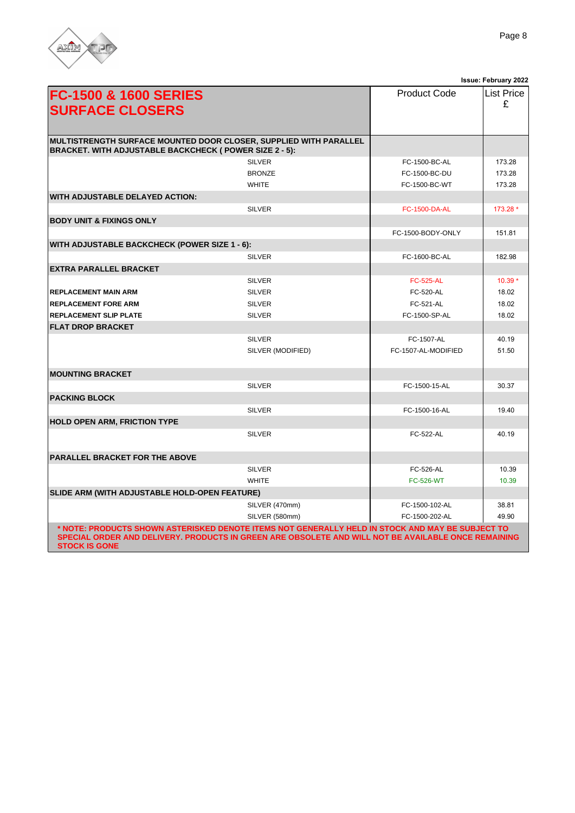

|                                                                                                                                                                                                                                 |                   |                      | Issue: June 2022 |
|---------------------------------------------------------------------------------------------------------------------------------------------------------------------------------------------------------------------------------|-------------------|----------------------|------------------|
| <b>FC-1500 &amp; 1600 SERIES</b><br><b>SURFACE CLOSERS</b>                                                                                                                                                                      |                   | <b>Product Code</b>  | List Price<br>£  |
| MULTISTRENGTH SURFACE MOUNTED DOOR CLOSER, SUPPLIED WITH PARALLEL<br><b>BRACKET. WITH ADJUSTABLE BACKCHECK ( POWER SIZE 2 - 5):</b>                                                                                             |                   |                      |                  |
|                                                                                                                                                                                                                                 | <b>SILVER</b>     | FC-1500-BC-AL        | 173.28           |
|                                                                                                                                                                                                                                 | <b>BRONZE</b>     | FC-1500-BC-DU        | 173.28           |
|                                                                                                                                                                                                                                 | <b>WHITE</b>      | FC-1500-BC-WT        | 173.28           |
| <b>WITH ADJUSTABLE DELAYED ACTION:</b>                                                                                                                                                                                          |                   |                      |                  |
|                                                                                                                                                                                                                                 | <b>SILVER</b>     | <b>FC-1500-DA-AL</b> | 173.28 *         |
| <b>BODY UNIT &amp; FIXINGS ONLY</b>                                                                                                                                                                                             |                   |                      |                  |
|                                                                                                                                                                                                                                 |                   | FC-1500-BODY-ONLY    | 151.81           |
| <b>WITH ADJUSTABLE BACKCHECK (POWER SIZE 1 - 6):</b>                                                                                                                                                                            |                   |                      |                  |
|                                                                                                                                                                                                                                 | <b>SILVER</b>     | FC-1600-BC-AL        | 182.98           |
| <b>EXTRA PARALLEL BRACKET</b>                                                                                                                                                                                                   |                   |                      |                  |
|                                                                                                                                                                                                                                 | <b>SILVER</b>     | <b>FC-525-AL</b>     | $10.39*$         |
| <b>REPLACEMENT MAIN ARM</b>                                                                                                                                                                                                     | <b>SILVER</b>     | <b>FC-520-AL</b>     | 18.02            |
| <b>REPLACEMENT FORE ARM</b>                                                                                                                                                                                                     | <b>SILVER</b>     | <b>FC-521-AL</b>     | 18.02            |
| <b>REPLACEMENT SLIP PLATE</b>                                                                                                                                                                                                   | <b>SILVER</b>     | FC-1500-SP-AL        | 18.02            |
| <b>FLAT DROP BRACKET</b>                                                                                                                                                                                                        |                   |                      |                  |
|                                                                                                                                                                                                                                 | <b>SILVER</b>     | FC-1507-AL           | 40.19            |
|                                                                                                                                                                                                                                 | SILVER (MODIFIED) | FC-1507-AL-MODIFIED  | 51.50            |
| <b>MOUNTING BRACKET</b>                                                                                                                                                                                                         |                   |                      |                  |
|                                                                                                                                                                                                                                 | <b>SILVER</b>     | FC-1500-15-AL        | 30.37            |
| <b>PACKING BLOCK</b>                                                                                                                                                                                                            |                   |                      |                  |
|                                                                                                                                                                                                                                 | <b>SILVER</b>     | FC-1500-16-AL        | 19.40            |
| <b>HOLD OPEN ARM, FRICTION TYPE</b>                                                                                                                                                                                             |                   |                      |                  |
|                                                                                                                                                                                                                                 | <b>SILVER</b>     | <b>FC-522-AL</b>     | 40.19            |
| <b>PARALLEL BRACKET FOR THE ABOVE</b>                                                                                                                                                                                           |                   |                      |                  |
|                                                                                                                                                                                                                                 | <b>SILVER</b>     | <b>FC-526-AL</b>     | 10.39            |
|                                                                                                                                                                                                                                 | <b>WHITE</b>      | <b>FC-526-WT</b>     | 10.39            |
| SLIDE ARM (WITH ADJUSTABLE HOLD-OPEN FEATURE)                                                                                                                                                                                   |                   |                      |                  |
|                                                                                                                                                                                                                                 | SILVER (470mm)    | FC-1500-102-AL       | 38.81            |
|                                                                                                                                                                                                                                 | SILVER (580mm)    | FC-1500-202-AL       | 49.90            |
| * NOTE: PRODUCTS SHOWN ASTERISKED DENOTE ITEMS NOT GENERALLY HELD IN STOCK AND MAY BE SUBJECT TO<br>SPECIAL ORDER AND DELIVERY. PRODUCTS IN GREEN ARE OBSOLETE AND WILL NOT BE AVAILABLE ONCE REMAINING<br><b>STOCK IS GONE</b> |                   |                      |                  |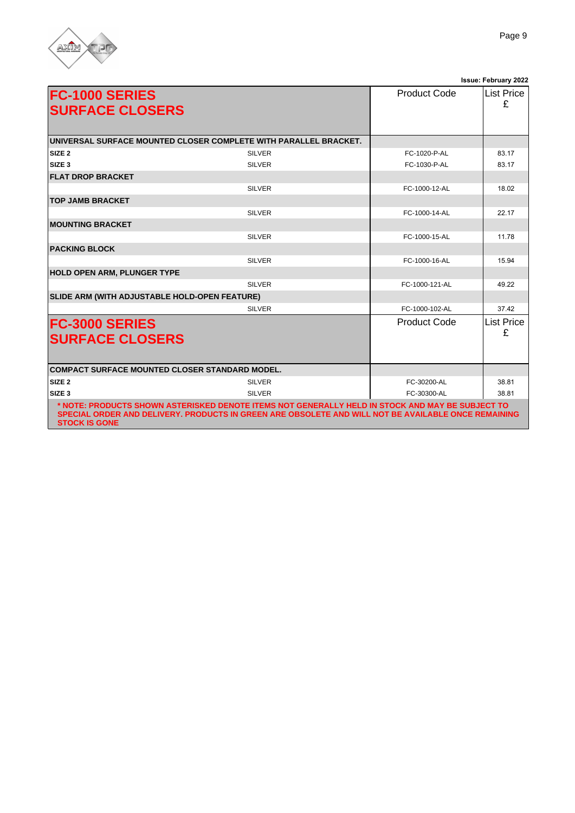

|                                                 |                                                                                                                                                                                                         |                     | Issue: June 2022 |
|-------------------------------------------------|---------------------------------------------------------------------------------------------------------------------------------------------------------------------------------------------------------|---------------------|------------------|
| <b>FC-1000 SERIES</b><br><b>SURFACE CLOSERS</b> |                                                                                                                                                                                                         | <b>Product Code</b> | List Price<br>£  |
|                                                 | UNIVERSAL SURFACE MOUNTED CLOSER COMPLETE WITH PARALLEL BRACKET.                                                                                                                                        |                     |                  |
| SIZE <sub>2</sub>                               | <b>SILVER</b>                                                                                                                                                                                           | FC-1020-P-AL        | 83.17            |
| SIZE <sub>3</sub>                               | <b>SILVER</b>                                                                                                                                                                                           | FC-1030-P-AL        | 83.17            |
| <b>FLAT DROP BRACKET</b>                        |                                                                                                                                                                                                         |                     |                  |
|                                                 | <b>SILVER</b>                                                                                                                                                                                           | FC-1000-12-AL       | 18.02            |
| <b>TOP JAMB BRACKET</b>                         |                                                                                                                                                                                                         |                     |                  |
|                                                 | <b>SILVER</b>                                                                                                                                                                                           | FC-1000-14-AL       | 22.17            |
| <b>MOUNTING BRACKET</b>                         |                                                                                                                                                                                                         |                     |                  |
|                                                 | <b>SILVER</b>                                                                                                                                                                                           | FC-1000-15-AL       | 11.78            |
| <b>PACKING BLOCK</b>                            |                                                                                                                                                                                                         |                     |                  |
|                                                 | <b>SILVER</b>                                                                                                                                                                                           | FC-1000-16-AL       | 15.94            |
| <b>HOLD OPEN ARM, PLUNGER TYPE</b>              |                                                                                                                                                                                                         |                     |                  |
|                                                 | <b>SILVER</b>                                                                                                                                                                                           | FC-1000-121-AL      | 49 22            |
| SLIDE ARM (WITH ADJUSTABLE HOLD-OPEN FEATURE)   |                                                                                                                                                                                                         |                     |                  |
|                                                 | <b>SILVER</b>                                                                                                                                                                                           | FC-1000-102-AL      | 37.42            |
| <b>FC-3000 SERIES</b><br><b>SURFACE CLOSERS</b> |                                                                                                                                                                                                         | <b>Product Code</b> | List Price<br>£  |
| COMPACT SURFACE MOUNTED CLOSER STANDARD MODEL.  |                                                                                                                                                                                                         |                     |                  |
| SIZE <sub>2</sub>                               | <b>SILVER</b>                                                                                                                                                                                           | FC-30200-AL         | 38.81            |
| SIZE <sub>3</sub>                               | <b>SILVER</b>                                                                                                                                                                                           | FC-30300-AL         | 38.81            |
| <b>STOCK IS GONE</b>                            | * NOTE: PRODUCTS SHOWN ASTERISKED DENOTE ITEMS NOT GENERALLY HELD IN STOCK AND MAY BE SUBJECT TO<br>SPECIAL ORDER AND DELIVERY. PRODUCTS IN GREEN ARE OBSOLETE AND WILL NOT BE AVAILABLE ONCE REMAINING |                     |                  |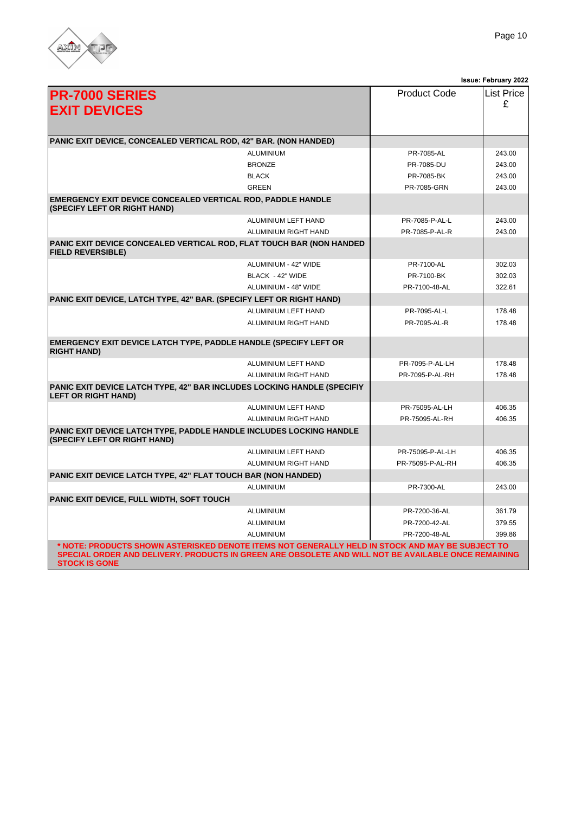

| <b>PR-7000 SERIES</b><br><b>EXIT DEVICES</b>                                                          |                      | <b>Product Code</b> | <b>List Price</b><br>£ |
|-------------------------------------------------------------------------------------------------------|----------------------|---------------------|------------------------|
| PANIC EXIT DEVICE, CONCEALED VERTICAL ROD, 42" BAR. (NON HANDED)                                      |                      |                     |                        |
|                                                                                                       | <b>ALUMINIUM</b>     | PR-7085-AL          | 243.00                 |
|                                                                                                       | <b>BRONZE</b>        | PR-7085-DU          | 243.00                 |
|                                                                                                       | <b>BLACK</b>         | PR-7085-BK          | 243.00                 |
|                                                                                                       | <b>GREEN</b>         | PR-7085-GRN         | 243.00                 |
| EMERGENCY EXIT DEVICE CONCEALED VERTICAL ROD, PADDLE HANDLE<br>(SPECIFY LEFT OR RIGHT HAND)           |                      |                     |                        |
|                                                                                                       | ALUMINIUM LEFT HAND  | PR-7085-P-AL-L      | 243.00                 |
|                                                                                                       | ALUMINIUM RIGHT HAND | PR-7085-P-AL-R      | 243.00                 |
| PANIC EXIT DEVICE CONCEALED VERTICAL ROD, FLAT TOUCH BAR (NON HANDED<br><b>FIELD REVERSIBLE)</b>      |                      |                     |                        |
|                                                                                                       | ALUMINIUM - 42" WIDE | PR-7100-AL          | 302.03                 |
|                                                                                                       | BLACK - 42" WIDE     | PR-7100-BK          | 302.03                 |
|                                                                                                       | ALUMINIUM - 48" WIDE | PR-7100-48-AL       | 322.61                 |
| PANIC EXIT DEVICE, LATCH TYPE, 42" BAR. (SPECIFY LEFT OR RIGHT HAND)                                  |                      |                     |                        |
|                                                                                                       | ALUMINIUM LEFT HAND  | PR-7095-AL-L        | 178.48                 |
|                                                                                                       | ALUMINIUM RIGHT HAND | PR-7095-AL-R        | 178.48                 |
| EMERGENCY EXIT DEVICE LATCH TYPE, PADDLE HANDLE (SPECIFY LEFT OR<br><b>RIGHT HAND)</b>                |                      |                     |                        |
|                                                                                                       | ALUMINIUM LEFT HAND  | PR-7095-P-AL-LH     | 178.48                 |
|                                                                                                       | ALUMINIUM RIGHT HAND | PR-7095-P-AL-RH     | 178.48                 |
| PANIC EXIT DEVICE LATCH TYPE, 42" BAR INCLUDES LOCKING HANDLE (SPECIFIY<br><b>LEFT OR RIGHT HAND)</b> |                      |                     |                        |
|                                                                                                       | ALUMINIUM LEFT HAND  | PR-75095-AL-LH      | 406.35                 |
|                                                                                                       | ALUMINIUM RIGHT HAND | PR-75095-AL-RH      | 406.35                 |
| PANIC EXIT DEVICE LATCH TYPE, PADDLE HANDLE INCLUDES LOCKING HANDLE<br>(SPECIFY LEFT OR RIGHT HAND)   |                      |                     |                        |
|                                                                                                       | ALUMINIUM LEFT HAND  | PR-75095-P-AL-LH    | 406.35                 |
|                                                                                                       | ALUMINIUM RIGHT HAND | PR-75095-P-AL-RH    | 406.35                 |
| PANIC EXIT DEVICE LATCH TYPE, 42" FLAT TOUCH BAR (NON HANDED)                                         |                      |                     |                        |
|                                                                                                       | <b>ALUMINIUM</b>     | PR-7300-AL          | 243.00                 |
| PANIC EXIT DEVICE, FULL WIDTH, SOFT TOUCH                                                             |                      |                     |                        |
|                                                                                                       | ALUMINIUM            | PR-7200-36-AL       | 361.79                 |
|                                                                                                       | <b>ALUMINIUM</b>     | PR-7200-42-AL       | 379.55                 |
|                                                                                                       | <b>ALUMINIUM</b>     | PR-7200-48-AL       | 399.86                 |
| * NOTE: PRODUCTS SHOWN ASTERISKED DENOTE ITEMS NOT GENERALLY HELD IN STOCK AND MAY BE SUBJECT TO      |                      |                     |                        |

**SPECIAL ORDER AND DELIVERY. PRODUCTS IN GREEN ARE OBSOLETE AND WILL NOT BE AVAILABLE ONCE REMAINING STOCK IS GONE**

**Issue: June 2022**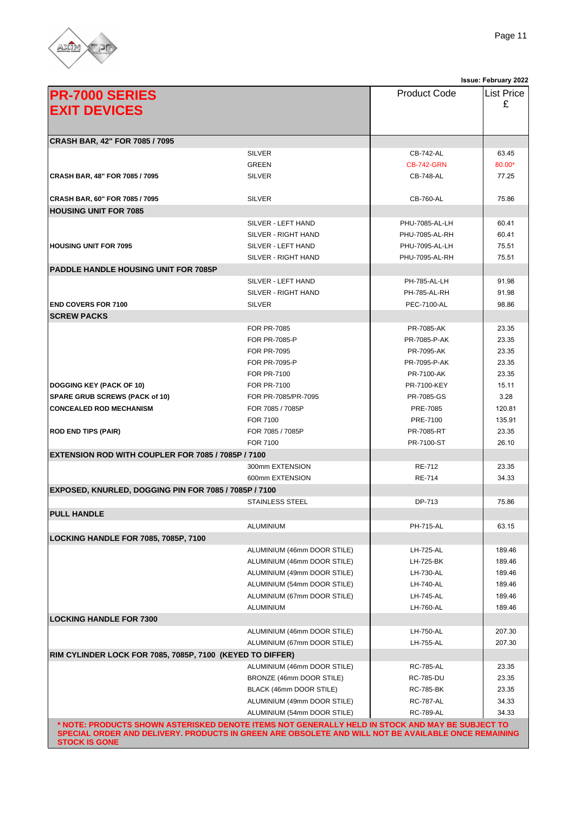

|                                                           |                                                                                                     |                     | <b>Issue: June 2022</b> |
|-----------------------------------------------------------|-----------------------------------------------------------------------------------------------------|---------------------|-------------------------|
| <b>PR-7000 SERIES</b>                                     |                                                                                                     | <b>Product Code</b> | <b>List Price</b>       |
| <b>EXIT DEVICES</b>                                       |                                                                                                     |                     | £                       |
|                                                           |                                                                                                     |                     |                         |
|                                                           |                                                                                                     |                     |                         |
| CRASH BAR, 42" FOR 7085 / 7095                            |                                                                                                     |                     |                         |
|                                                           | <b>SILVER</b>                                                                                       | CB-742-AL           | 63.45                   |
|                                                           | <b>GREEN</b>                                                                                        | <b>CB-742-GRN</b>   | 80.00*                  |
| CRASH BAR, 48" FOR 7085 / 7095                            | <b>SILVER</b>                                                                                       | CB-748-AL           | 77.25                   |
|                                                           |                                                                                                     |                     |                         |
| CRASH BAR, 60" FOR 7085 / 7095                            | <b>SILVER</b>                                                                                       | CB-760-AL           | 75.86                   |
| <b>HOUSING UNIT FOR 7085</b>                              |                                                                                                     |                     |                         |
|                                                           | SILVER - LEFT HAND                                                                                  | PHU-7085-AL-LH      | 60.41                   |
|                                                           | SILVER - RIGHT HAND                                                                                 | PHU-7085-AL-RH      | 60.41                   |
| <b>HOUSING UNIT FOR 7095</b>                              | SILVER - LEFT HAND                                                                                  | PHU-7095-AL-LH      | 75.51                   |
|                                                           | SILVER - RIGHT HAND                                                                                 | PHU-7095-AL-RH      | 75.51                   |
| <b>PADDLE HANDLE HOUSING UNIT FOR 7085P</b>               |                                                                                                     |                     |                         |
|                                                           | SILVER - LEFT HAND                                                                                  | <b>PH-785-AL-LH</b> | 91.98                   |
|                                                           | SILVER - RIGHT HAND                                                                                 | <b>PH-785-AL-RH</b> | 91.98                   |
|                                                           | <b>SILVER</b>                                                                                       |                     |                         |
| <b>END COVERS FOR 7100</b>                                |                                                                                                     | PEC-7100-AL         | 98.86                   |
| <b>SCREW PACKS</b>                                        |                                                                                                     |                     |                         |
|                                                           | <b>FOR PR-7085</b>                                                                                  | PR-7085-AK          | 23.35                   |
|                                                           | <b>FOR PR-7085-P</b>                                                                                | PR-7085-P-AK        | 23.35                   |
|                                                           | <b>FOR PR-7095</b>                                                                                  | PR-7095-AK          | 23.35                   |
|                                                           | FOR PR-7095-P                                                                                       | PR-7095-P-AK        | 23.35                   |
|                                                           | <b>FOR PR-7100</b>                                                                                  | PR-7100-AK          | 23.35                   |
| <b>DOGGING KEY (PACK OF 10)</b>                           | <b>FOR PR-7100</b>                                                                                  | PR-7100-KEY         | 15.11                   |
| <b>SPARE GRUB SCREWS (PACK of 10)</b>                     | FOR PR-7085/PR-7095                                                                                 | PR-7085-GS          | 3.28                    |
| <b>CONCEALED ROD MECHANISM</b>                            | FOR 7085 / 7085P                                                                                    | PRE-7085            | 120.81                  |
|                                                           | FOR 7100                                                                                            | PRE-7100            | 135.91                  |
| <b>ROD END TIPS (PAIR)</b>                                | FOR 7085 / 7085P                                                                                    | PR-7085-RT          | 23.35                   |
|                                                           | FOR 7100                                                                                            | PR-7100-ST          | 26.10                   |
| <b>EXTENSION ROD WITH COUPLER FOR 7085 / 7085P / 7100</b> |                                                                                                     |                     |                         |
|                                                           | 300mm EXTENSION                                                                                     | <b>RE-712</b>       | 23.35                   |
|                                                           | 600mm EXTENSION                                                                                     | <b>RE-714</b>       | 34.33                   |
| EXPOSED, KNURLED, DOGGING PIN FOR 7085 / 7085P / 7100     |                                                                                                     |                     |                         |
|                                                           | <b>STAINLESS STEEL</b>                                                                              | DP-713              | 75.86                   |
| <b>PULL HANDLE</b>                                        |                                                                                                     |                     |                         |
|                                                           | <b>ALUMINIUM</b>                                                                                    | <b>PH-715-AL</b>    | 63.15                   |
| LOCKING HANDLE FOR 7085, 7085P, 7100                      |                                                                                                     |                     |                         |
|                                                           | ALUMINIUM (46mm DOOR STILE)                                                                         | LH-725-AL           | 189.46                  |
|                                                           | ALUMINIUM (46mm DOOR STILE)                                                                         | LH-725-BK           | 189.46                  |
|                                                           | ALUMINIUM (49mm DOOR STILE)                                                                         | LH-730-AL           | 189.46                  |
|                                                           | ALUMINIUM (54mm DOOR STILE)                                                                         | LH-740-AL           | 189.46                  |
|                                                           | ALUMINIUM (67mm DOOR STILE)                                                                         | LH-745-AL           | 189.46                  |
|                                                           | ALUMINIUM                                                                                           | LH-760-AL           | 189.46                  |
|                                                           |                                                                                                     |                     |                         |
| <b>LOCKING HANDLE FOR 7300</b>                            |                                                                                                     |                     |                         |
|                                                           | ALUMINIUM (46mm DOOR STILE)                                                                         | LH-750-AL           | 207.30                  |
|                                                           | ALUMINIUM (67mm DOOR STILE)                                                                         | LH-755-AL           | 207.30                  |
| RIM CYLINDER LOCK FOR 7085, 7085P, 7100 (KEYED TO DIFFER) |                                                                                                     |                     |                         |
|                                                           | ALUMINIUM (46mm DOOR STILE)                                                                         | <b>RC-785-AL</b>    | 23.35                   |
|                                                           | BRONZE (46mm DOOR STILE)                                                                            | RC-785-DU           | 23.35                   |
|                                                           | BLACK (46mm DOOR STILE)                                                                             | <b>RC-785-BK</b>    | 23.35                   |
|                                                           | ALUMINIUM (49mm DOOR STILE)                                                                         | <b>RC-787-AL</b>    | 34.33                   |
|                                                           | ALUMINIUM (54mm DOOR STILE)                                                                         | <b>RC-789-AL</b>    | 34.33                   |
|                                                           | * NOTE: PRODUCTS SHOWN ASTERISKED DENOTE ITEMS NOT GENERALLY HELD IN STOCK AND MAY BE SUBJECT TO    |                     |                         |
| <b>STOCK IS GONE</b>                                      | SPECIAL ORDER AND DELIVERY. PRODUCTS IN GREEN ARE OBSOLETE AND WILL NOT BE AVAILABLE ONCE REMAINING |                     |                         |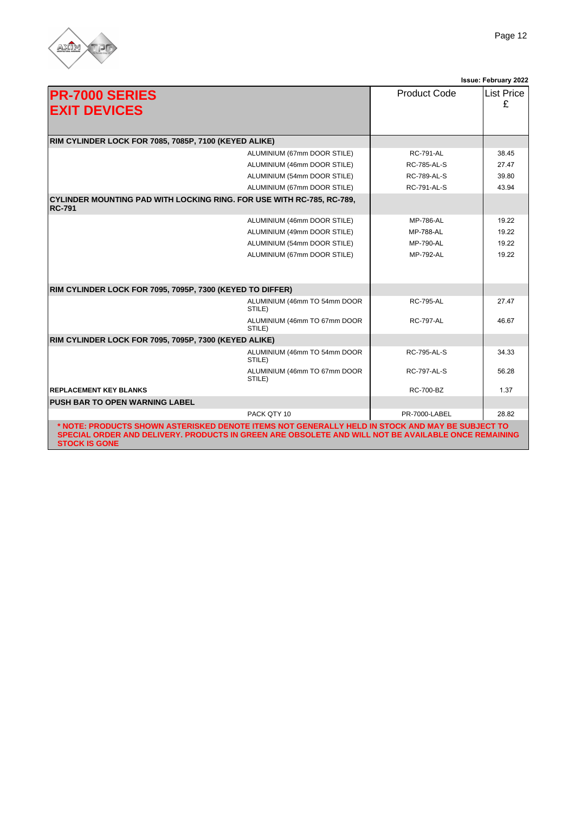

|                                                                                                                                                                                                                                 |                              |                     | Issue: June 2022       |
|---------------------------------------------------------------------------------------------------------------------------------------------------------------------------------------------------------------------------------|------------------------------|---------------------|------------------------|
| <b>PR-7000 SERIES</b><br><b>EXIT DEVICES</b>                                                                                                                                                                                    |                              | <b>Product Code</b> | <b>List Price</b><br>£ |
| RIM CYLINDER LOCK FOR 7085, 7085P, 7100 (KEYED ALIKE)                                                                                                                                                                           |                              |                     |                        |
|                                                                                                                                                                                                                                 | ALUMINIUM (67mm DOOR STILE)  | <b>RC-791-AL</b>    | 38.45                  |
|                                                                                                                                                                                                                                 | ALUMINIUM (46mm DOOR STILE)  | <b>RC-785-AL-S</b>  | 27.47                  |
|                                                                                                                                                                                                                                 | ALUMINIUM (54mm DOOR STILE)  | <b>RC-789-AL-S</b>  | 39.80                  |
|                                                                                                                                                                                                                                 | ALUMINIUM (67mm DOOR STILE)  | <b>RC-791-AL-S</b>  | 43.94                  |
| <b>CYLINDER MOUNTING PAD WITH LOCKING RING. FOR USE WITH RC-785, RC-789,</b><br><b>RC-791</b>                                                                                                                                   |                              |                     |                        |
|                                                                                                                                                                                                                                 | ALUMINIUM (46mm DOOR STILE)  | <b>MP-786-AL</b>    | 19.22                  |
|                                                                                                                                                                                                                                 | ALUMINIUM (49mm DOOR STILE)  | <b>MP-788-AL</b>    | 19.22                  |
|                                                                                                                                                                                                                                 | ALUMINIUM (54mm DOOR STILE)  | <b>MP-790-AL</b>    | 19.22                  |
|                                                                                                                                                                                                                                 | ALUMINIUM (67mm DOOR STILE)  | <b>MP-792-AL</b>    | 19.22                  |
|                                                                                                                                                                                                                                 |                              |                     |                        |
| RIM CYLINDER LOCK FOR 7095, 7095P, 7300 (KEYED TO DIFFER)                                                                                                                                                                       |                              |                     |                        |
| STILE)                                                                                                                                                                                                                          | ALUMINIUM (46mm TO 54mm DOOR | <b>RC-795-AL</b>    | 27.47                  |
| STILE)                                                                                                                                                                                                                          | ALUMINIUM (46mm TO 67mm DOOR | <b>RC-797-AL</b>    | 46.67                  |
| RIM CYLINDER LOCK FOR 7095, 7095P, 7300 (KEYED ALIKE)                                                                                                                                                                           |                              |                     |                        |
| STILE)                                                                                                                                                                                                                          | ALUMINIUM (46mm TO 54mm DOOR | <b>RC-795-AL-S</b>  | 34.33                  |
| STILE)                                                                                                                                                                                                                          | ALUMINIUM (46mm TO 67mm DOOR | <b>RC-797-AL-S</b>  | 56.28                  |
| <b>REPLACEMENT KEY BLANKS</b>                                                                                                                                                                                                   |                              | <b>RC-700-BZ</b>    | 1.37                   |
| <b>PUSH BAR TO OPEN WARNING LABEL</b>                                                                                                                                                                                           |                              |                     |                        |
|                                                                                                                                                                                                                                 | PACK QTY 10                  | PR-7000-LABEL       | 28.82                  |
| * NOTE: PRODUCTS SHOWN ASTERISKED DENOTE ITEMS NOT GENERALLY HELD IN STOCK AND MAY BE SUBJECT TO<br>SPECIAL ORDER AND DELIVERY. PRODUCTS IN GREEN ARE OBSOLETE AND WILL NOT BE AVAILABLE ONCE REMAINING<br><b>STOCK IS GONE</b> |                              |                     |                        |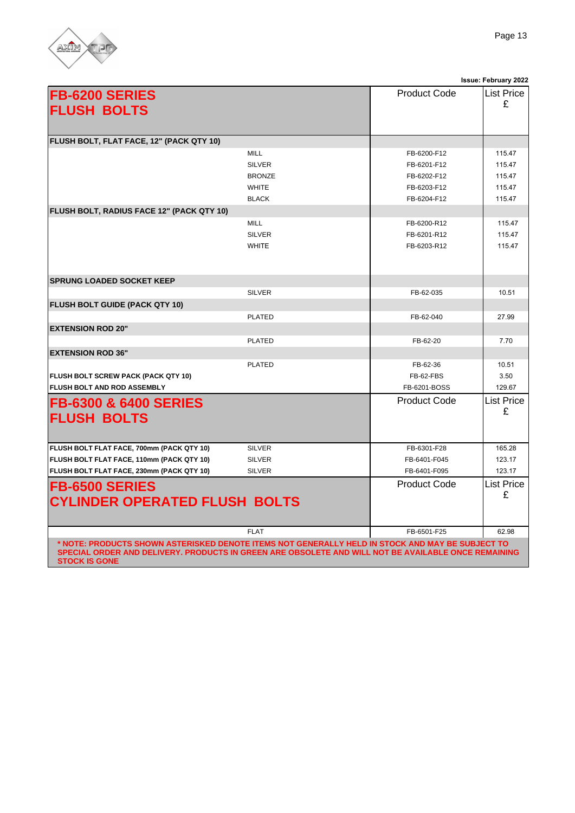

|                                                                                                                                                                                                                                 |               |                     | Issue: June 2022 |
|---------------------------------------------------------------------------------------------------------------------------------------------------------------------------------------------------------------------------------|---------------|---------------------|------------------|
| <b>FB-6200 SERIES</b><br><b>FLUSH BOLTS</b>                                                                                                                                                                                     |               | <b>Product Code</b> | List Price<br>£  |
| FLUSH BOLT, FLAT FACE, 12" (PACK QTY 10)                                                                                                                                                                                        |               |                     |                  |
|                                                                                                                                                                                                                                 | <b>MILL</b>   | FB-6200-F12         | 115.47           |
|                                                                                                                                                                                                                                 | <b>SILVER</b> | FB-6201-F12         | 115.47           |
|                                                                                                                                                                                                                                 | <b>BRONZE</b> | FB-6202-F12         | 115.47           |
|                                                                                                                                                                                                                                 | <b>WHITE</b>  | FB-6203-F12         | 115.47           |
|                                                                                                                                                                                                                                 | <b>BLACK</b>  | FB-6204-F12         | 115.47           |
| FLUSH BOLT, RADIUS FACE 12" (PACK QTY 10)                                                                                                                                                                                       |               |                     |                  |
|                                                                                                                                                                                                                                 | <b>MILL</b>   | FB-6200-R12         | 115.47           |
|                                                                                                                                                                                                                                 | <b>SILVER</b> | FB-6201-R12         | 115.47           |
|                                                                                                                                                                                                                                 | <b>WHITE</b>  | FB-6203-R12         | 115.47           |
| <b>SPRUNG LOADED SOCKET KEEP</b>                                                                                                                                                                                                |               |                     |                  |
|                                                                                                                                                                                                                                 | <b>SILVER</b> | FB-62-035           | 10.51            |
| <b>FLUSH BOLT GUIDE (PACK QTY 10)</b>                                                                                                                                                                                           |               |                     |                  |
|                                                                                                                                                                                                                                 | <b>PLATED</b> | FB-62-040           | 27.99            |
| <b>EXTENSION ROD 20"</b>                                                                                                                                                                                                        |               |                     |                  |
|                                                                                                                                                                                                                                 | <b>PLATED</b> | FB-62-20            | 7.70             |
| <b>EXTENSION ROD 36"</b>                                                                                                                                                                                                        |               |                     |                  |
|                                                                                                                                                                                                                                 | <b>PLATED</b> | FB-62-36            | 10.51            |
| <b>FLUSH BOLT SCREW PACK (PACK QTY 10)</b>                                                                                                                                                                                      |               | FB-62-FBS           | 3.50             |
| <b>FLUSH BOLT AND ROD ASSEMBLY</b>                                                                                                                                                                                              |               | FB-6201-BOSS        | 129.67           |
| <b>FB-6300 &amp; 6400 SERIES</b><br><b>FLUSH BOLTS</b>                                                                                                                                                                          |               | <b>Product Code</b> | List Price<br>£  |
| FLUSH BOLT FLAT FACE, 700mm (PACK QTY 10)                                                                                                                                                                                       | <b>SILVER</b> | FB-6301-F28         | 165.28           |
| FLUSH BOLT FLAT FACE, 110mm (PACK QTY 10)                                                                                                                                                                                       | <b>SILVER</b> | FB-6401-F045        | 123.17           |
| FLUSH BOLT FLAT FACE, 230mm (PACK QTY 10)                                                                                                                                                                                       | <b>SILVER</b> | FB-6401-F095        | 123.17           |
| <b>FB-6500 SERIES</b><br><b>CYLINDER OPERATED FLUSH BOLTS</b>                                                                                                                                                                   |               | Product Code        | List Price<br>£  |
|                                                                                                                                                                                                                                 | <b>FLAT</b>   | FB-6501-F25         | 62.98            |
| * NOTE: PRODUCTS SHOWN ASTERISKED DENOTE ITEMS NOT GENERALLY HELD IN STOCK AND MAY BE SUBJECT TO<br>SPECIAL ORDER AND DELIVERY. PRODUCTS IN GREEN ARE OBSOLETE AND WILL NOT BE AVAILABLE ONCE REMAINING<br><b>STOCK IS GONE</b> |               |                     |                  |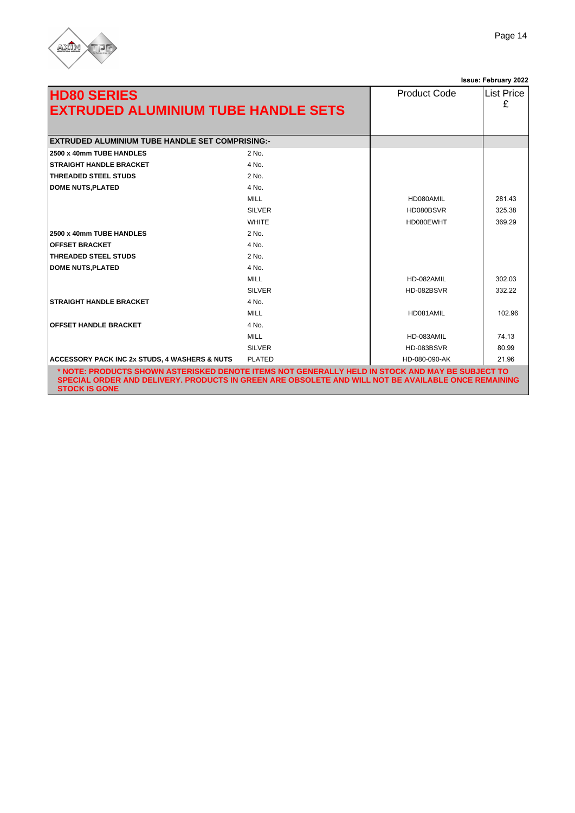

|                                                           |               |                     | Issue: June 2022       |
|-----------------------------------------------------------|---------------|---------------------|------------------------|
| <b>HD80 SERIES</b><br>EXTRUDED ALUMINIUM TUBE HANDLE SETS |               | <b>Product Code</b> | <b>List Price</b><br>£ |
| <b>EXTRUDED ALUMINIUM TUBE HANDLE SET COMPRISING:-</b>    |               |                     |                        |
| 2500 x 40mm TUBE HANDLES                                  | 2 No.         |                     |                        |
| <b>STRAIGHT HANDLE BRACKET</b>                            | 4 No.         |                     |                        |
| <b>THREADED STEEL STUDS</b>                               | 2 No.         |                     |                        |
| <b>DOME NUTS, PLATED</b>                                  | 4 No.         |                     |                        |
|                                                           | MILL.         | HD080AMIL           | 281.43                 |
|                                                           | <b>SILVER</b> | HD080BSVR           | 325.38                 |
|                                                           | <b>WHITE</b>  | HD080EWHT           | 369.29                 |
| 2500 x 40mm TUBE HANDLES                                  | 2 No.         |                     |                        |
| <b>OFFSET BRACKET</b>                                     | 4 No.         |                     |                        |
| <b>THREADED STEEL STUDS</b>                               | 2 No.         |                     |                        |
| <b>DOME NUTS, PLATED</b>                                  | 4 No.         |                     |                        |
|                                                           | <b>MILL</b>   | HD-082AMIL          | 302.03                 |
|                                                           | <b>SILVER</b> | HD-082BSVR          | 332.22                 |
| <b>STRAIGHT HANDLE BRACKET</b>                            | 4 No.         |                     |                        |
|                                                           | <b>MILL</b>   | HD081AMIL           | 102.96                 |
| <b>OFFSET HANDLE BRACKET</b>                              | 4 No.         |                     |                        |
|                                                           | <b>MILL</b>   | HD-083AMIL          | 74.13                  |
|                                                           | <b>SILVER</b> | HD-083BSVR          | 80.99                  |
| <b>ACCESSORY PACK INC 2x STUDS, 4 WASHERS &amp; NUTS</b>  | <b>PLATED</b> | HD-080-090-AK       | 21.96                  |

ERY. PRODUCTS IN GREEN ARE OBSOLETE AND WILL NOT BE AVAILABLE ONCE REMAININ **STOCK IS GONE**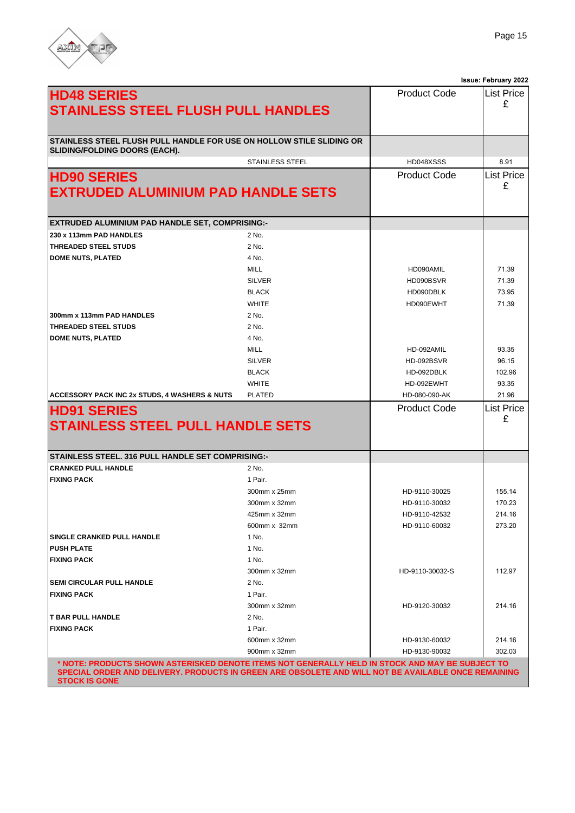

|                                                                      |                        |                     | Issue: June 2022       |  |
|----------------------------------------------------------------------|------------------------|---------------------|------------------------|--|
| <b>HD48 SERIES</b><br><b>STAINLESS STEEL FLUSH PULL HANDLES</b>      |                        | <b>Product Code</b> | List Price<br>£        |  |
| STAINLESS STEEL FLUSH PULL HANDLE FOR USE ON HOLLOW STILE SLIDING OR |                        |                     |                        |  |
| <b>SLIDING/FOLDING DOORS (EACH).</b>                                 |                        |                     |                        |  |
|                                                                      | <b>STAINLESS STEEL</b> | HD048XSSS           | 8.91                   |  |
| <b>HD90 SERIES</b><br><b>EXTRUDED ALUMINIUM PAD HANDLE SETS</b>      |                        | <b>Product Code</b> | <b>List Price</b><br>£ |  |
| EXTRUDED ALUMINIUM PAD HANDLE SET, COMPRISING:-                      |                        |                     |                        |  |
| 230 x 113mm PAD HANDLES                                              | 2 No.                  |                     |                        |  |
| THREADED STEEL STUDS                                                 | 2 No.                  |                     |                        |  |
| <b>DOME NUTS, PLATED</b>                                             | 4 No.                  |                     |                        |  |
|                                                                      | <b>MILL</b>            | HD090AMIL           | 71.39                  |  |
|                                                                      | <b>SILVER</b>          | HD090BSVR           | 71.39                  |  |
|                                                                      | <b>BLACK</b>           | HD090DBLK           | 73.95                  |  |
|                                                                      | <b>WHITE</b>           | HD090EWHT           | 71.39                  |  |
| 300mm x 113mm PAD HANDLES                                            | 2 No.                  |                     |                        |  |
| THREADED STEEL STUDS                                                 | 2 No.                  |                     |                        |  |
| <b>DOME NUTS, PLATED</b>                                             | 4 No.                  |                     |                        |  |
|                                                                      | <b>MILL</b>            | HD-092AMIL          | 93.35                  |  |
|                                                                      | <b>SILVER</b>          | HD-092BSVR          | 96.15                  |  |
|                                                                      | <b>BLACK</b>           | HD-092DBLK          | 102.96                 |  |
|                                                                      | <b>WHITE</b>           | HD-092EWHT          | 93.35                  |  |
| <b>ACCESSORY PACK INC 2x STUDS, 4 WASHERS &amp; NUTS</b>             | <b>PLATED</b>          | HD-080-090-AK       | 21.96                  |  |
| <b>HD91 SERIES</b><br><b>STAINLESS STEEL PULL HANDLE SETS</b>        |                        | <b>Product Code</b> | <b>List Price</b><br>£ |  |
| <b>STAINLESS STEEL. 316 PULL HANDLE SET COMPRISING:-</b>             |                        |                     |                        |  |
| <b>CRANKED PULL HANDLE</b>                                           | 2 No.                  |                     |                        |  |
| <b>FIXING PACK</b>                                                   | 1 Pair.                |                     |                        |  |
|                                                                      | 300mm x 25mm           | HD-9110-30025       | 155.14                 |  |
|                                                                      | 300mm x 32mm           | HD-9110-30032       | 170.23                 |  |
|                                                                      | 425mm x 32mm           | HD-9110-42532       | 214.16                 |  |
|                                                                      | 600mm x 32mm           | HD-9110-60032       | 273.20                 |  |
| <b>SINGLE CRANKED PULL HANDLE</b>                                    | 1 No.                  |                     |                        |  |
| PUSH PLATE                                                           | 1 No.                  |                     |                        |  |
| <b>FIXING PACK</b>                                                   | 1 No.                  |                     |                        |  |
|                                                                      | 300mm x 32mm           | HD-9110-30032-S     | 112.97                 |  |
| SEMI CIRCULAR PULL HANDLE                                            | 2 No.                  |                     |                        |  |
| <b>FIXING PACK</b>                                                   | 1 Pair.                |                     |                        |  |
|                                                                      | 300mm x 32mm           | HD-9120-30032       | 214.16                 |  |
| T BAR PULL HANDLE                                                    | 2 No.                  |                     |                        |  |
| <b>FIXING PACK</b>                                                   | 1 Pair.                |                     |                        |  |
|                                                                      | 600mm x 32mm           | HD-9130-60032       | 214.16                 |  |

**\* NOTE: PRODUCTS SHOWN ASTERISKED DENOTE ITEMS NOT GENERALLY HELD IN STOCK AND MAY BE SUBJECT TO SPECIAL ORDER AND DELIVERY. PRODUCTS IN GREEN ARE OBSOLETE AND WILL NOT BE AVAILABLE ONCE REMAINING STOCK IS GONE**

900mm x 32mm HD-9130-90032 302.03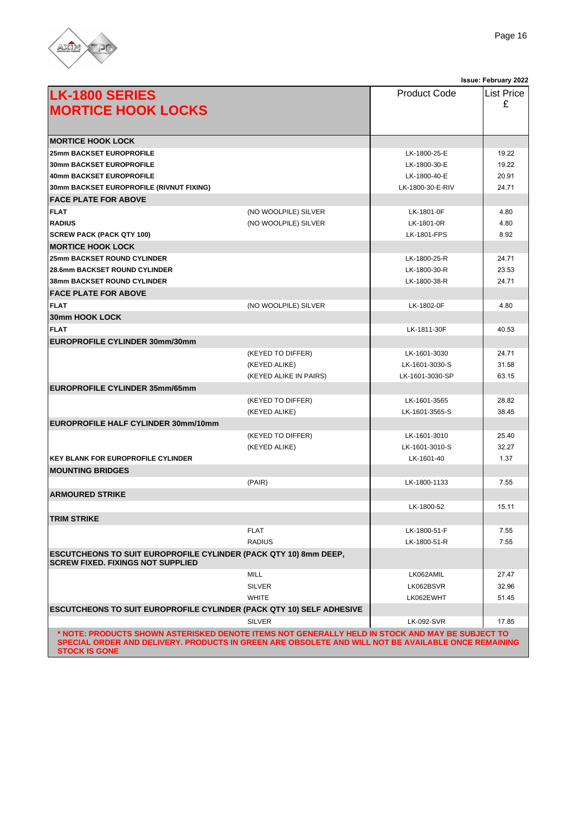

|                                                                                                                                                                                                                                 |                        |                     | Issue: June 2022  |
|---------------------------------------------------------------------------------------------------------------------------------------------------------------------------------------------------------------------------------|------------------------|---------------------|-------------------|
| <b>LK-1800 SERIES</b>                                                                                                                                                                                                           |                        | <b>Product Code</b> | <b>List Price</b> |
| <b>MORTICE HOOK LOCKS</b>                                                                                                                                                                                                       |                        |                     | £                 |
|                                                                                                                                                                                                                                 |                        |                     |                   |
|                                                                                                                                                                                                                                 |                        |                     |                   |
| <b>IMORTICE HOOK LOCK</b>                                                                                                                                                                                                       |                        |                     |                   |
| <b>25mm BACKSET EUROPROFILE</b>                                                                                                                                                                                                 |                        | LK-1800-25-E        | 19.22             |
| <b>30mm BACKSET EUROPROFILE</b>                                                                                                                                                                                                 |                        | LK-1800-30-E        | 19.22             |
| <b>40mm BACKSET EUROPROFILE</b>                                                                                                                                                                                                 |                        | LK-1800-40-E        | 20.91             |
| 30mm BACKSET EUROPROFILE (RIVNUT FIXING)                                                                                                                                                                                        |                        | LK-1800-30-E-RIV    | 24.71             |
| <b>FACE PLATE FOR ABOVE</b>                                                                                                                                                                                                     |                        |                     |                   |
| <b>FLAT</b>                                                                                                                                                                                                                     | (NO WOOLPILE) SILVER   | LK-1801-0F          | 4.80              |
| <b>RADIUS</b>                                                                                                                                                                                                                   | (NO WOOLPILE) SILVER   | LK-1801-0R          | 4.80              |
| <b>SCREW PACK (PACK QTY 100)</b>                                                                                                                                                                                                |                        | <b>LK-1801-FPS</b>  | 8.92              |
| <b>IMORTICE HOOK LOCK</b>                                                                                                                                                                                                       |                        |                     |                   |
| <b>25mm BACKSET ROUND CYLINDER</b>                                                                                                                                                                                              |                        | LK-1800-25-R        | 24.71             |
| <b>28.6mm BACKSET ROUND CYLINDER</b>                                                                                                                                                                                            |                        | LK-1800-30-R        | 23.53             |
| <b>38mm BACKSET ROUND CYLINDER</b>                                                                                                                                                                                              |                        | LK-1800-38-R        | 24.71             |
| <b>FACE PLATE FOR ABOVE</b>                                                                                                                                                                                                     |                        |                     |                   |
| <b>FLAT</b>                                                                                                                                                                                                                     | (NO WOOLPILE) SILVER   | LK-1802-0F          | 4.80              |
| <b>30mm HOOK LOCK</b>                                                                                                                                                                                                           |                        |                     |                   |
| <b>FLAT</b>                                                                                                                                                                                                                     |                        | LK-1811-30F         | 40.53             |
| EUROPROFILE CYLINDER 30mm/30mm                                                                                                                                                                                                  |                        |                     |                   |
|                                                                                                                                                                                                                                 | (KEYED TO DIFFER)      | LK-1601-3030        | 24.71             |
|                                                                                                                                                                                                                                 | (KEYED ALIKE)          | LK-1601-3030-S      | 31.58             |
|                                                                                                                                                                                                                                 | (KEYED ALIKE IN PAIRS) | LK-1601-3030-SP     | 63.15             |
| <b>EUROPROFILE CYLINDER 35mm/65mm</b>                                                                                                                                                                                           |                        |                     |                   |
|                                                                                                                                                                                                                                 | (KEYED TO DIFFER)      | LK-1601-3565        | 28.82             |
|                                                                                                                                                                                                                                 | (KEYED ALIKE)          | LK-1601-3565-S      | 38.45             |
| <b>EUROPROFILE HALF CYLINDER 30mm/10mm</b>                                                                                                                                                                                      |                        |                     |                   |
|                                                                                                                                                                                                                                 | (KEYED TO DIFFER)      | LK-1601-3010        | 25.40             |
|                                                                                                                                                                                                                                 | (KEYED ALIKE)          | LK-1601-3010-S      | 32.27             |
| <b>KEY BLANK FOR EUROPROFILE CYLINDER</b>                                                                                                                                                                                       |                        | LK-1601-40          | 1.37              |
| <b>MOUNTING BRIDGES</b>                                                                                                                                                                                                         |                        |                     |                   |
|                                                                                                                                                                                                                                 | (PAIR)                 | LK-1800-1133        | 7.55              |
| <b>ARMOURED STRIKE</b>                                                                                                                                                                                                          |                        |                     |                   |
|                                                                                                                                                                                                                                 |                        | LK-1800-52          | 15.11             |
| <b>TRIM STRIKE</b>                                                                                                                                                                                                              |                        |                     |                   |
|                                                                                                                                                                                                                                 | <b>FLAT</b>            | LK-1800-51-F        | 7.55              |
|                                                                                                                                                                                                                                 | <b>RADIUS</b>          | LK-1800-51-R        | 7.55              |
| <b>ESCUTCHEONS TO SUIT EUROPROFILE CYLINDER (PACK QTY 10) 8mm DEEP,</b>                                                                                                                                                         |                        |                     |                   |
| <b>SCREW FIXED. FIXINGS NOT SUPPLIED</b>                                                                                                                                                                                        |                        |                     |                   |
|                                                                                                                                                                                                                                 | MILL                   | LK062AMIL           | 27.47             |
|                                                                                                                                                                                                                                 | <b>SILVER</b>          | LK062BSVR           | 32.96             |
|                                                                                                                                                                                                                                 | <b>WHITE</b>           | LK062EWHT           | 51.45             |
| <b>ESCUTCHEONS TO SUIT EUROPROFILE CYLINDER (PACK QTY 10) SELF ADHESIVE</b>                                                                                                                                                     |                        |                     |                   |
|                                                                                                                                                                                                                                 | <b>SILVER</b>          | <b>LK-092-SVR</b>   | 17.85             |
| * NOTE: PRODUCTS SHOWN ASTERISKED DENOTE ITEMS NOT GENERALLY HELD IN STOCK AND MAY BE SUBJECT TO<br>SPECIAL ORDER AND DELIVERY. PRODUCTS IN GREEN ARE OBSOLETE AND WILL NOT BE AVAILABLE ONCE REMAINING<br><b>STOCK IS GONE</b> |                        |                     |                   |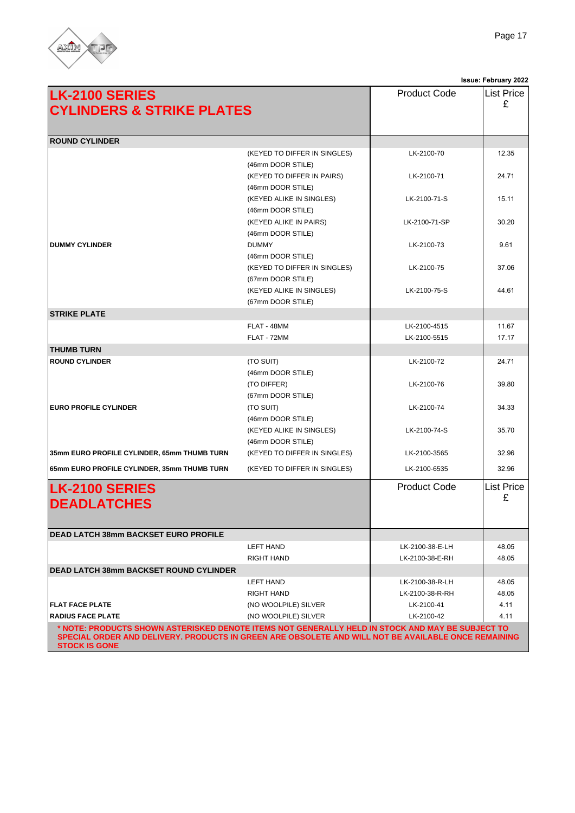

|                                                                                                                                                                                                                                 |                                                   |                     | Issue: June 2022       |
|---------------------------------------------------------------------------------------------------------------------------------------------------------------------------------------------------------------------------------|---------------------------------------------------|---------------------|------------------------|
| <b>LK-2100 SERIES</b><br><b>CYLINDERS &amp; STRIKE PLATES</b>                                                                                                                                                                   |                                                   | <b>Product Code</b> | <b>List Price</b><br>£ |
|                                                                                                                                                                                                                                 |                                                   |                     |                        |
| <b>ROUND CYLINDER</b>                                                                                                                                                                                                           |                                                   |                     |                        |
|                                                                                                                                                                                                                                 | (KEYED TO DIFFER IN SINGLES)                      | LK-2100-70          | 12.35                  |
|                                                                                                                                                                                                                                 | (46mm DOOR STILE)                                 |                     |                        |
|                                                                                                                                                                                                                                 | (KEYED TO DIFFER IN PAIRS)                        | LK-2100-71          | 24.71                  |
|                                                                                                                                                                                                                                 | (46mm DOOR STILE)                                 |                     |                        |
|                                                                                                                                                                                                                                 | (KEYED ALIKE IN SINGLES)                          | LK-2100-71-S        | 15.11                  |
|                                                                                                                                                                                                                                 | (46mm DOOR STILE)                                 |                     |                        |
|                                                                                                                                                                                                                                 | (KEYED ALIKE IN PAIRS)                            | LK-2100-71-SP       | 30.20                  |
| <b>DUMMY CYLINDER</b>                                                                                                                                                                                                           | (46mm DOOR STILE)<br><b>DUMMY</b>                 | LK-2100-73          | 9.61                   |
|                                                                                                                                                                                                                                 | (46mm DOOR STILE)                                 |                     |                        |
|                                                                                                                                                                                                                                 | (KEYED TO DIFFER IN SINGLES)                      | LK-2100-75          | 37.06                  |
|                                                                                                                                                                                                                                 | (67mm DOOR STILE)                                 |                     |                        |
|                                                                                                                                                                                                                                 | (KEYED ALIKE IN SINGLES)                          | LK-2100-75-S        | 44.61                  |
|                                                                                                                                                                                                                                 | (67mm DOOR STILE)                                 |                     |                        |
| <b>STRIKE PLATE</b>                                                                                                                                                                                                             |                                                   |                     |                        |
|                                                                                                                                                                                                                                 | FLAT - 48MM                                       | LK-2100-4515        | 11.67                  |
|                                                                                                                                                                                                                                 | FLAT - 72MM                                       | LK-2100-5515        | 17.17                  |
| <b>THUMB TURN</b>                                                                                                                                                                                                               |                                                   |                     |                        |
| <b>ROUND CYLINDER</b>                                                                                                                                                                                                           | (TO SUIT)                                         | LK-2100-72          | 24.71                  |
|                                                                                                                                                                                                                                 | (46mm DOOR STILE)                                 |                     |                        |
|                                                                                                                                                                                                                                 | (TO DIFFER)                                       | LK-2100-76          | 39.80                  |
|                                                                                                                                                                                                                                 | (67mm DOOR STILE)                                 |                     |                        |
| <b>EURO PROFILE CYLINDER</b>                                                                                                                                                                                                    | (TO SUIT)                                         | LK-2100-74          | 34.33                  |
|                                                                                                                                                                                                                                 | (46mm DOOR STILE)                                 |                     |                        |
|                                                                                                                                                                                                                                 | (KEYED ALIKE IN SINGLES)                          | LK-2100-74-S        | 35.70                  |
| 35mm EURO PROFILE CYLINDER, 65mm THUMB TURN                                                                                                                                                                                     | (46mm DOOR STILE)<br>(KEYED TO DIFFER IN SINGLES) | LK-2100-3565        | 32.96                  |
|                                                                                                                                                                                                                                 |                                                   |                     |                        |
| 65mm EURO PROFILE CYLINDER, 35mm THUMB TURN                                                                                                                                                                                     | (KEYED TO DIFFER IN SINGLES)                      | LK-2100-6535        | 32.96                  |
| <b>LK-2100 SERIES</b><br><b>DEADLATCHES</b>                                                                                                                                                                                     |                                                   | <b>Product Code</b> | <b>List Price</b><br>£ |
|                                                                                                                                                                                                                                 |                                                   |                     |                        |
| <b>DEAD LATCH 38mm BACKSET EURO PROFILE</b>                                                                                                                                                                                     |                                                   |                     |                        |
|                                                                                                                                                                                                                                 | LEFT HAND                                         | LK-2100-38-E-LH     | 48.05                  |
|                                                                                                                                                                                                                                 | <b>RIGHT HAND</b>                                 | LK-2100-38-E-RH     | 48.05                  |
| <b>DEAD LATCH 38mm BACKSET ROUND CYLINDER</b>                                                                                                                                                                                   |                                                   |                     |                        |
|                                                                                                                                                                                                                                 | LEFT HAND                                         | LK-2100-38-R-LH     | 48.05                  |
|                                                                                                                                                                                                                                 | RIGHT HAND                                        | LK-2100-38-R-RH     | 48.05                  |
| <b>FLAT FACE PLATE</b>                                                                                                                                                                                                          | (NO WOOLPILE) SILVER                              | LK-2100-41          | 4.11                   |
| <b>RADIUS FACE PLATE</b>                                                                                                                                                                                                        | (NO WOOLPILE) SILVER                              | LK-2100-42          | 4.11                   |
| * NOTE: PRODUCTS SHOWN ASTERISKED DENOTE ITEMS NOT GENERALLY HELD IN STOCK AND MAY BE SUBJECT TO<br>SPECIAL ORDER AND DELIVERY. PRODUCTS IN GREEN ARE OBSOLETE AND WILL NOT BE AVAILABLE ONCE REMAINING<br><b>STOCK IS GONE</b> |                                                   |                     |                        |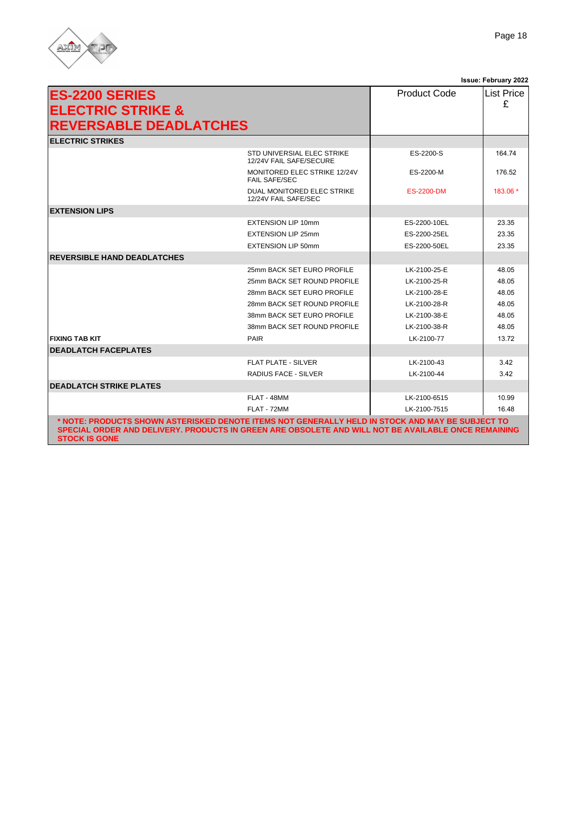

| <b>ES-2200 SERIES</b>                                                                                                                                                                                                           |                                                       | <b>Product Code</b> | <b>List Price</b> |
|---------------------------------------------------------------------------------------------------------------------------------------------------------------------------------------------------------------------------------|-------------------------------------------------------|---------------------|-------------------|
| <b>ELECTRIC STRIKE &amp;</b>                                                                                                                                                                                                    |                                                       |                     | £                 |
|                                                                                                                                                                                                                                 |                                                       |                     |                   |
| <b>REVERSABLE DEADLATCHES</b>                                                                                                                                                                                                   |                                                       |                     |                   |
| <b>ELECTRIC STRIKES</b>                                                                                                                                                                                                         |                                                       |                     |                   |
|                                                                                                                                                                                                                                 | STD UNIVERSIAL ELEC STRIKE<br>12/24V FAIL SAFE/SECURE | ES-2200-S           | 164.74            |
|                                                                                                                                                                                                                                 | MONITORED ELEC STRIKE 12/24V<br><b>FAIL SAFE/SEC</b>  | ES-2200-M           | 176.52            |
|                                                                                                                                                                                                                                 | DUAL MONITORED ELEC STRIKE<br>12/24V FAIL SAFE/SEC    | <b>ES-2200-DM</b>   | 183.06 *          |
| <b>EXTENSION LIPS</b>                                                                                                                                                                                                           |                                                       |                     |                   |
|                                                                                                                                                                                                                                 | <b>EXTENSION LIP 10mm</b>                             | ES-2200-10EL        | 23.35             |
|                                                                                                                                                                                                                                 | <b>EXTENSION LIP 25mm</b>                             | ES-2200-25EL        | 23.35             |
|                                                                                                                                                                                                                                 | <b>EXTENSION LIP 50mm</b>                             | ES-2200-50EL        | 23.35             |
| <b>REVERSIBLE HAND DEADLATCHES</b>                                                                                                                                                                                              |                                                       |                     |                   |
|                                                                                                                                                                                                                                 | 25mm BACK SET EURO PROFILE                            | LK-2100-25-E        | 48.05             |
|                                                                                                                                                                                                                                 | 25mm BACK SET ROUND PROFILE                           | LK-2100-25-R        | 48.05             |
|                                                                                                                                                                                                                                 | 28mm BACK SET EURO PROFILE                            | LK-2100-28-E        | 48.05             |
|                                                                                                                                                                                                                                 | 28mm BACK SET ROUND PROFILE                           | LK-2100-28-R        | 48.05             |
|                                                                                                                                                                                                                                 | 38mm BACK SET EURO PROFILE                            | LK-2100-38-E        | 48.05             |
|                                                                                                                                                                                                                                 | 38mm BACK SET ROUND PROFILE                           | LK-2100-38-R        | 48.05             |
| <b>FIXING TAB KIT</b>                                                                                                                                                                                                           | PAIR                                                  | LK-2100-77          | 13.72             |
| <b>DEADLATCH FACEPLATES</b>                                                                                                                                                                                                     |                                                       |                     |                   |
|                                                                                                                                                                                                                                 | FLAT PLATE - SILVER                                   | LK-2100-43          | 3.42              |
|                                                                                                                                                                                                                                 | RADIUS FACE - SILVER                                  | LK-2100-44          | 3.42              |
| <b>DEADLATCH STRIKE PLATES</b>                                                                                                                                                                                                  |                                                       |                     |                   |
|                                                                                                                                                                                                                                 | FLAT - 48MM                                           | LK-2100-6515        | 10.99             |
|                                                                                                                                                                                                                                 | FLAT - 72MM                                           | LK-2100-7515        | 16.48             |
| * NOTE: PRODUCTS SHOWN ASTERISKED DENOTE ITEMS NOT GENERALLY HELD IN STOCK AND MAY BE SUBJECT TO<br>SPECIAL ORDER AND DELIVERY. PRODUCTS IN GREEN ARE OBSOLETE AND WILL NOT BE AVAILABLE ONCE REMAINING<br><b>STOCK IS GONE</b> |                                                       |                     |                   |

**Issue: June 2022**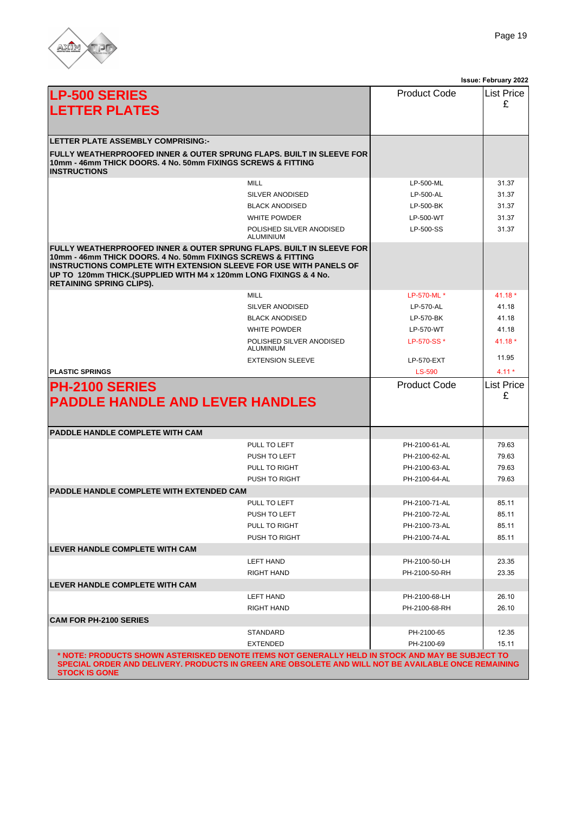

|                                                                                                                                                                                                                                                                                                                   |                                              |                     | Issue: June 2022       |
|-------------------------------------------------------------------------------------------------------------------------------------------------------------------------------------------------------------------------------------------------------------------------------------------------------------------|----------------------------------------------|---------------------|------------------------|
| <b>LP-500 SERIES</b>                                                                                                                                                                                                                                                                                              |                                              | <b>Product Code</b> | <b>List Price</b>      |
| <b>LETTER PLATES</b>                                                                                                                                                                                                                                                                                              |                                              |                     | £                      |
|                                                                                                                                                                                                                                                                                                                   |                                              |                     |                        |
|                                                                                                                                                                                                                                                                                                                   |                                              |                     |                        |
| LETTER PLATE ASSEMBLY COMPRISING:-                                                                                                                                                                                                                                                                                |                                              |                     |                        |
| FULLY WEATHERPROOFED INNER & OUTER SPRUNG FLAPS. BUILT IN SLEEVE FOR<br>10mm - 46mm THICK DOORS. 4 No. 50mm FIXINGS SCREWS & FITTING<br><b>INSTRUCTIONS</b>                                                                                                                                                       |                                              |                     |                        |
|                                                                                                                                                                                                                                                                                                                   | <b>MILL</b>                                  | LP-500-ML           | 31.37                  |
|                                                                                                                                                                                                                                                                                                                   | SILVER ANODISED                              | LP-500-AL           | 31.37                  |
|                                                                                                                                                                                                                                                                                                                   | <b>BLACK ANODISED</b>                        | LP-500-BK           | 31.37                  |
|                                                                                                                                                                                                                                                                                                                   | <b>WHITE POWDER</b>                          | LP-500-WT           | 31.37                  |
|                                                                                                                                                                                                                                                                                                                   | POLISHED SILVER ANODISED<br><b>ALUMINIUM</b> | LP-500-SS           | 31.37                  |
| FULLY WEATHERPROOFED INNER & OUTER SPRUNG FLAPS. BUILT IN SLEEVE FOR<br>10mm - 46mm THICK DOORS. 4 No. 50mm FIXINGS SCREWS & FITTING<br>INSTRUCTIONS COMPLETE WITH EXTENSION SLEEVE FOR USE WITH PANELS OF<br>UP TO 120mm THICK.(SUPPLIED WITH M4 x 120mm LONG FIXINGS & 4 No.<br><b>RETAINING SPRING CLIPS).</b> |                                              |                     |                        |
|                                                                                                                                                                                                                                                                                                                   | <b>MILL</b>                                  | LP-570-ML *         | $41.18*$               |
|                                                                                                                                                                                                                                                                                                                   | SILVER ANODISED                              | LP-570-AL           | 41.18                  |
|                                                                                                                                                                                                                                                                                                                   | <b>BLACK ANODISED</b>                        | LP-570-BK           | 41.18                  |
|                                                                                                                                                                                                                                                                                                                   | <b>WHITE POWDER</b>                          | LP-570-WT           | 41.18                  |
|                                                                                                                                                                                                                                                                                                                   | POLISHED SILVER ANODISED<br>ALUMINIUM        | LP-570-SS*          | $41.18*$               |
|                                                                                                                                                                                                                                                                                                                   | <b>EXTENSION SLEEVE</b>                      | LP-570-EXT          | 11.95                  |
| <b>PLASTIC SPRINGS</b>                                                                                                                                                                                                                                                                                            |                                              | <b>LS-590</b>       | $4.11*$                |
| <b>PH-2100 SERIES</b><br><b>PADDLE HANDLE AND LEVER HANDLES</b>                                                                                                                                                                                                                                                   |                                              | <b>Product Code</b> | <b>List Price</b><br>£ |
| PADDLE HANDLE COMPLETE WITH CAM                                                                                                                                                                                                                                                                                   |                                              |                     |                        |
|                                                                                                                                                                                                                                                                                                                   | PULL TO LEFT                                 | PH-2100-61-AL       | 79.63                  |
|                                                                                                                                                                                                                                                                                                                   | PUSH TO LEFT                                 | PH-2100-62-AL       | 79.63                  |
|                                                                                                                                                                                                                                                                                                                   | PULL TO RIGHT                                | PH-2100-63-AL       | 79.63                  |
|                                                                                                                                                                                                                                                                                                                   | PUSH TO RIGHT                                | PH-2100-64-AL       | 79.63                  |
| <b>PADDLE HANDLE COMPLETE WITH EXTENDED CAM</b>                                                                                                                                                                                                                                                                   |                                              |                     |                        |
|                                                                                                                                                                                                                                                                                                                   | PULL TO LEFT                                 | PH-2100-71-AL       | 85.11                  |
|                                                                                                                                                                                                                                                                                                                   | PUSH TO LEFT                                 | PH-2100-72-AL       | 85.11                  |
|                                                                                                                                                                                                                                                                                                                   | PULL TO RIGHT                                | PH-2100-73-AL       | 85.11                  |
|                                                                                                                                                                                                                                                                                                                   | PUSH TO RIGHT                                | PH-2100-74-AL       | 85.11                  |
| <b>LEVER HANDLE COMPLETE WITH CAM</b>                                                                                                                                                                                                                                                                             |                                              |                     |                        |
|                                                                                                                                                                                                                                                                                                                   | LEFT HAND                                    | PH-2100-50-LH       | 23.35                  |
|                                                                                                                                                                                                                                                                                                                   | <b>RIGHT HAND</b>                            | PH-2100-50-RH       | 23.35                  |
| <b>LEVER HANDLE COMPLETE WITH CAM</b>                                                                                                                                                                                                                                                                             |                                              |                     |                        |
|                                                                                                                                                                                                                                                                                                                   | <b>LEFT HAND</b>                             | PH-2100-68-LH       | 26.10                  |
|                                                                                                                                                                                                                                                                                                                   | <b>RIGHT HAND</b>                            | PH-2100-68-RH       | 26.10                  |
| <b>CAM FOR PH-2100 SERIES</b>                                                                                                                                                                                                                                                                                     |                                              |                     |                        |
|                                                                                                                                                                                                                                                                                                                   | STANDARD                                     | PH-2100-65          | 12.35                  |
|                                                                                                                                                                                                                                                                                                                   | <b>EXTENDED</b>                              | PH-2100-69          | 15.11                  |
| * NOTE: PRODUCTS SHOWN ASTERISKED DENOTE ITEMS NOT GENERALLY HELD IN STOCK AND MAY BE SUBJECT TO<br>SPECIAL ORDER AND DELIVERY. PRODUCTS IN GREEN ARE OBSOLETE AND WILL NOT BE AVAILABLE ONCE REMAINING<br><b>STOCK IS GONE</b>                                                                                   |                                              |                     |                        |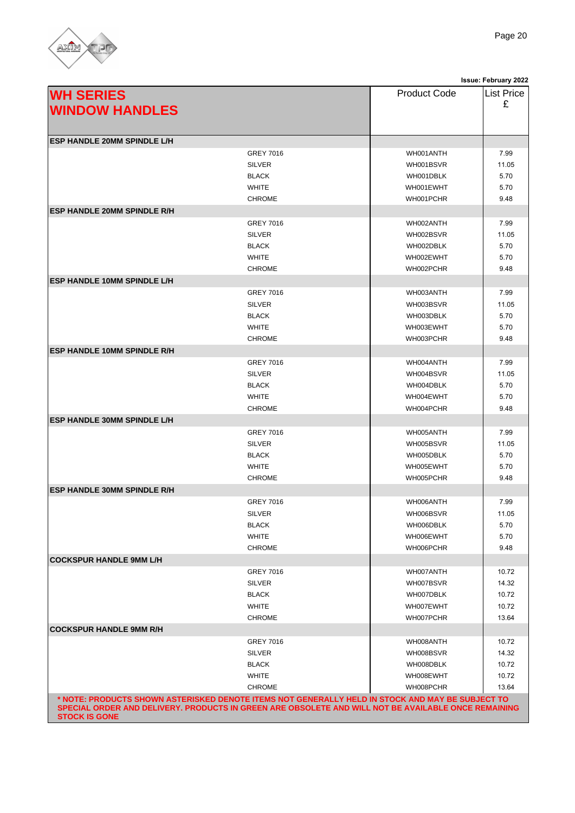

|                                                                                                                                                                                                          |                  |                     | <b>Issue: June 2022</b> |
|----------------------------------------------------------------------------------------------------------------------------------------------------------------------------------------------------------|------------------|---------------------|-------------------------|
| <b>WH SERIES</b>                                                                                                                                                                                         |                  | <b>Product Code</b> | List Price              |
|                                                                                                                                                                                                          |                  |                     | £                       |
| <b>WINDOW HANDLES</b>                                                                                                                                                                                    |                  |                     |                         |
|                                                                                                                                                                                                          |                  |                     |                         |
| <b>ESP HANDLE 20MM SPINDLE L/H</b>                                                                                                                                                                       |                  |                     |                         |
|                                                                                                                                                                                                          | <b>GREY 7016</b> | WH001ANTH           | 7.99                    |
|                                                                                                                                                                                                          | <b>SILVER</b>    | WH001BSVR           | 11.05                   |
|                                                                                                                                                                                                          | <b>BLACK</b>     | WH001DBLK           | 5.70                    |
|                                                                                                                                                                                                          | <b>WHITE</b>     | WH001EWHT           | 5.70                    |
|                                                                                                                                                                                                          | <b>CHROME</b>    | WH001PCHR           | 9.48                    |
| <b>ESP HANDLE 20MM SPINDLE R/H</b>                                                                                                                                                                       |                  |                     |                         |
|                                                                                                                                                                                                          | <b>GREY 7016</b> | WH002ANTH           | 7.99                    |
|                                                                                                                                                                                                          | <b>SILVER</b>    | WH002BSVR           | 11.05                   |
|                                                                                                                                                                                                          | <b>BLACK</b>     | WH002DBLK           | 5.70                    |
|                                                                                                                                                                                                          | <b>WHITE</b>     | WH002EWHT           | 5.70                    |
|                                                                                                                                                                                                          | <b>CHROME</b>    | WH002PCHR           | 9.48                    |
| <b>ESP HANDLE 10MM SPINDLE L/H</b>                                                                                                                                                                       |                  |                     |                         |
|                                                                                                                                                                                                          | <b>GREY 7016</b> | WH003ANTH           | 7.99                    |
|                                                                                                                                                                                                          | <b>SILVER</b>    | WH003BSVR           | 11.05                   |
|                                                                                                                                                                                                          | <b>BLACK</b>     | WH003DBLK           | 5.70                    |
|                                                                                                                                                                                                          | <b>WHITE</b>     | WH003EWHT           | 5.70                    |
|                                                                                                                                                                                                          | <b>CHROME</b>    | WH003PCHR           | 9.48                    |
| <b>ESP HANDLE 10MM SPINDLE R/H</b>                                                                                                                                                                       |                  |                     |                         |
|                                                                                                                                                                                                          | <b>GREY 7016</b> | WH004ANTH           | 7.99                    |
|                                                                                                                                                                                                          | <b>SILVER</b>    | WH004BSVR           | 11.05                   |
|                                                                                                                                                                                                          | <b>BLACK</b>     | WH004DBLK           | 5.70                    |
|                                                                                                                                                                                                          | <b>WHITE</b>     | WH004EWHT           | 5.70                    |
|                                                                                                                                                                                                          | <b>CHROME</b>    | WH004PCHR           | 9.48                    |
| <b>ESP HANDLE 30MM SPINDLE L/H</b>                                                                                                                                                                       |                  |                     |                         |
|                                                                                                                                                                                                          | <b>GREY 7016</b> | WH005ANTH           | 7.99                    |
|                                                                                                                                                                                                          | <b>SILVER</b>    | WH005BSVR           | 11.05                   |
|                                                                                                                                                                                                          | <b>BLACK</b>     | WH005DBLK           | 5.70                    |
|                                                                                                                                                                                                          | <b>WHITE</b>     | WH005EWHT           | 5.70                    |
|                                                                                                                                                                                                          | <b>CHROME</b>    | WH005PCHR           | 9.48                    |
| <b>ESP HANDLE 30MM SPINDLE R/H</b>                                                                                                                                                                       |                  |                     |                         |
|                                                                                                                                                                                                          | <b>GREY 7016</b> | WH006ANTH           | 7.99                    |
|                                                                                                                                                                                                          | SILVER           | WH006BSVR           | 11.05                   |
|                                                                                                                                                                                                          | <b>BLACK</b>     | WH006DBLK           | 5.70                    |
|                                                                                                                                                                                                          | <b>WHITE</b>     | WH006EWHT           | 5.70                    |
|                                                                                                                                                                                                          | <b>CHROME</b>    | WH006PCHR           | 9.48                    |
| <b>COCKSPUR HANDLE 9MM L/H</b>                                                                                                                                                                           |                  |                     |                         |
|                                                                                                                                                                                                          | <b>GREY 7016</b> | WH007ANTH           | 10.72                   |
|                                                                                                                                                                                                          | <b>SILVER</b>    | WH007BSVR           | 14.32                   |
|                                                                                                                                                                                                          | <b>BLACK</b>     | WH007DBLK           | 10.72                   |
|                                                                                                                                                                                                          | <b>WHITE</b>     | WH007EWHT           | 10.72                   |
|                                                                                                                                                                                                          | <b>CHROME</b>    | WH007PCHR           | 13.64                   |
| <b>COCKSPUR HANDLE 9MM R/H</b>                                                                                                                                                                           |                  |                     |                         |
|                                                                                                                                                                                                          | <b>GREY 7016</b> | WH008ANTH           | 10.72                   |
|                                                                                                                                                                                                          | <b>SILVER</b>    | WH008BSVR           | 14.32                   |
|                                                                                                                                                                                                          | <b>BLACK</b>     | WH008DBLK           | 10.72                   |
|                                                                                                                                                                                                          | <b>WHITE</b>     | WH008EWHT           | 10.72                   |
|                                                                                                                                                                                                          | <b>CHROME</b>    | WH008PCHR           | 13.64                   |
| NOTE: PRODUCTS SHOWN ASTERISKED DENOTE ITEMS NOT GENERALLY HELD IN STOCK AND MAY BE SUBJECT TO **<br>SPECIAL ORDER AND DELIVERY. PRODUCTS IN GREEN ARE OBSOLETE AND WILL NOT BE AVAILABLE ONCE REMAINING |                  |                     |                         |
| <b>STOCK IS GONE</b>                                                                                                                                                                                     |                  |                     |                         |
|                                                                                                                                                                                                          |                  |                     |                         |